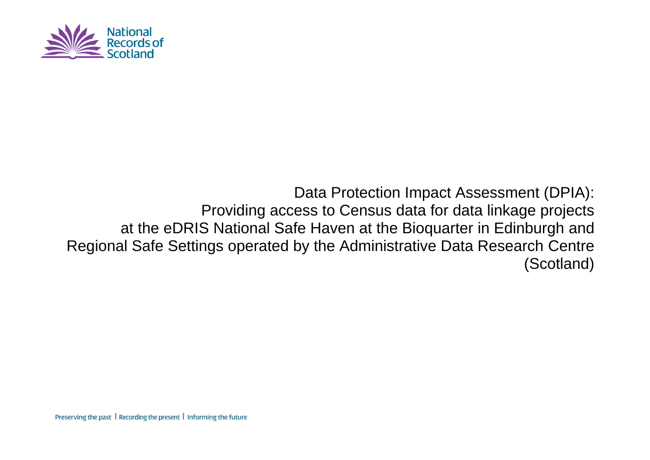

# Data Protection Impact Assessment (DPIA): Providing access to Census data for data linkage projects at the eDRIS National Safe Haven at the Bioquarter in Edinburgh and Regional Safe Settings operated by the Administrative Data Research Centre (Scotland)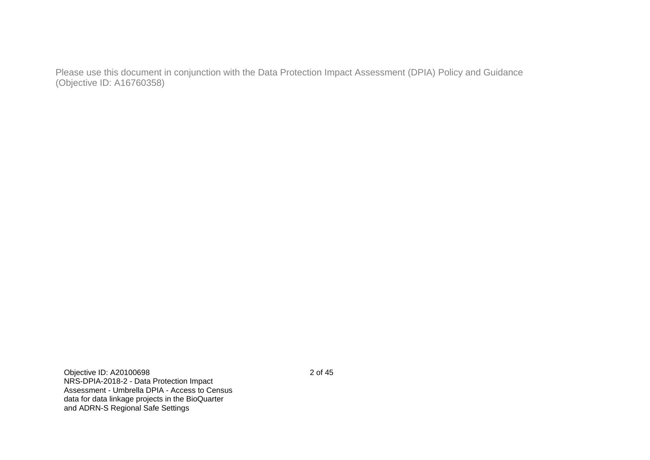Please use this document in conjunction with the Data Protection Impact Assessment (DPIA) Policy and Guidance (Objective ID: A16760358)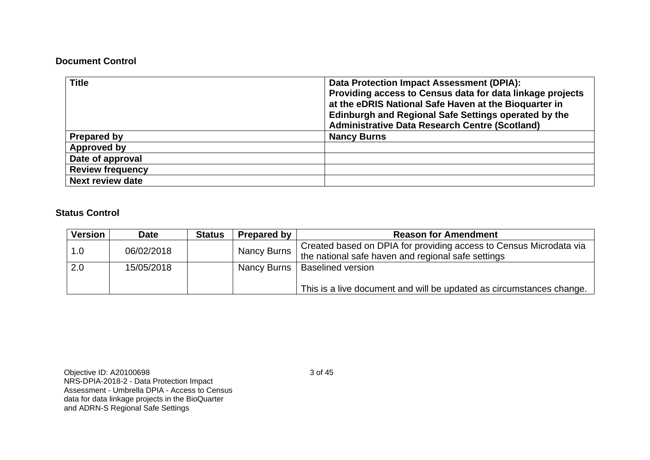#### **Document Control**

| <b>Title</b>            | <b>Data Protection Impact Assessment (DPIA):</b><br>Providing access to Census data for data linkage projects<br>at the eDRIS National Safe Haven at the Bioquarter in<br>Edinburgh and Regional Safe Settings operated by the<br><b>Administrative Data Research Centre (Scotland)</b> |
|-------------------------|-----------------------------------------------------------------------------------------------------------------------------------------------------------------------------------------------------------------------------------------------------------------------------------------|
| <b>Prepared by</b>      | <b>Nancy Burns</b>                                                                                                                                                                                                                                                                      |
| Approved by             |                                                                                                                                                                                                                                                                                         |
| Date of approval        |                                                                                                                                                                                                                                                                                         |
| <b>Review frequency</b> |                                                                                                                                                                                                                                                                                         |
| <b>Next review date</b> |                                                                                                                                                                                                                                                                                         |

# **Status Control**

| <b>Version</b> | Date       | <b>Status</b> | Prepared by        | <b>Reason for Amendment</b>                                          |  |  |  |
|----------------|------------|---------------|--------------------|----------------------------------------------------------------------|--|--|--|
| 1.0            | 06/02/2018 |               | <b>Nancy Burns</b> | Created based on DPIA for providing access to Census Microdata via   |  |  |  |
|                |            |               |                    | the national safe haven and regional safe settings                   |  |  |  |
| 2.0            | 15/05/2018 |               |                    | Nancy Burns   Baselined version                                      |  |  |  |
|                |            |               |                    |                                                                      |  |  |  |
|                |            |               |                    | This is a live document and will be updated as circumstances change. |  |  |  |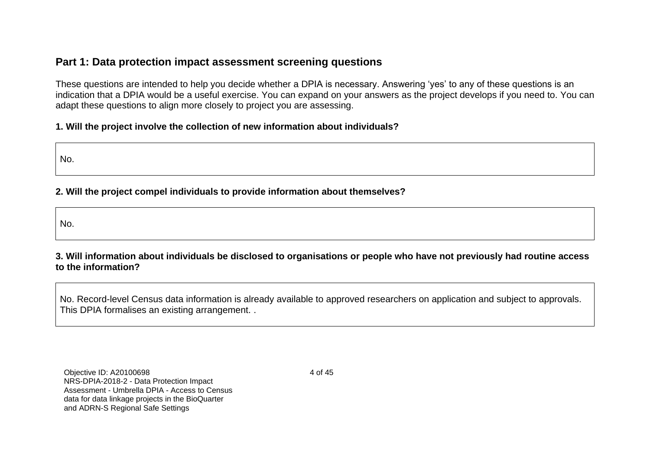# **Part 1: Data protection impact assessment screening questions**

These questions are intended to help you decide whether a DPIA is necessary. Answering 'yes' to any of these questions is an indication that a DPIA would be a useful exercise. You can expand on your answers as the project develops if you need to. You can adapt these questions to align more closely to project you are assessing.

## **1. Will the project involve the collection of new information about individuals?**

No.

# **2. Will the project compel individuals to provide information about themselves?**

No.

**3. Will information about individuals be disclosed to organisations or people who have not previously had routine access to the information?**

No. Record-level Census data information is already available to approved researchers on application and subject to approvals. This DPIA formalises an existing arrangement. .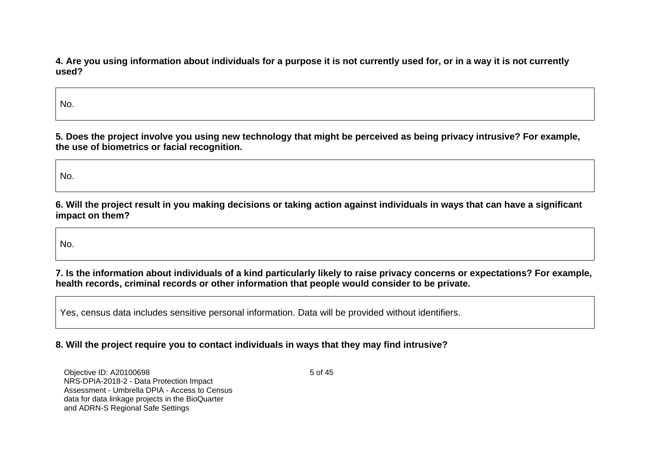**4. Are you using information about individuals for a purpose it is not currently used for, or in a way it is not currently used?**

No.

**5. Does the project involve you using new technology that might be perceived as being privacy intrusive? For example, the use of biometrics or facial recognition.**

No.

**6. Will the project result in you making decisions or taking action against individuals in ways that can have a significant impact on them?**

No.

**7. Is the information about individuals of a kind particularly likely to raise privacy concerns or expectations? For example, health records, criminal records or other information that people would consider to be private.**

Yes, census data includes sensitive personal information. Data will be provided without identifiers.

#### **8. Will the project require you to contact individuals in ways that they may find intrusive?**

Objective ID: A20100698 NRS-DPIA-2018-2 - Data Protection Impact Assessment - Umbrella DPIA - Access to Census data for data linkage projects in the BioQuarter and ADRN-S Regional Safe Settings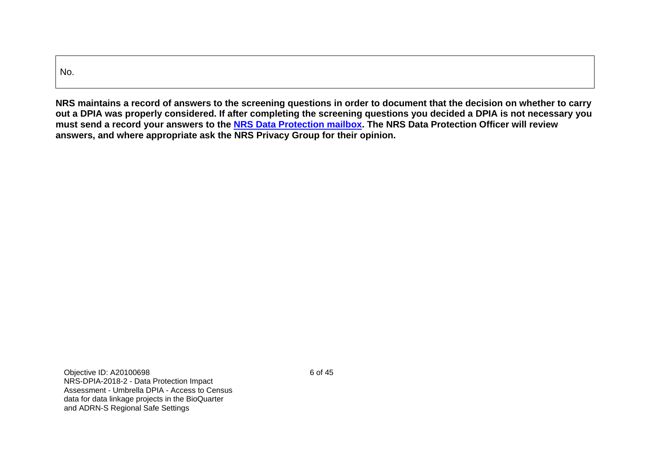| No. |  |  |  |
|-----|--|--|--|

**NRS maintains a record of answers to the screening questions in order to document that the decision on whether to carry out a DPIA was properly considered. If after completing the screening questions you decided a DPIA is not necessary you must send a record your answers to the [NRS Data Protection mailbox.](mailto:dataprotection@nrscotland.gov.uk) The NRS Data Protection Officer will review answers, and where appropriate ask the NRS Privacy Group for their opinion.**

Objective ID: A20100698 NRS-DPIA-2018-2 - Data Protection Impact Assessment - Umbrella DPIA - Access to Census data for data linkage projects in the BioQuarter and ADRN-S Regional Safe Settings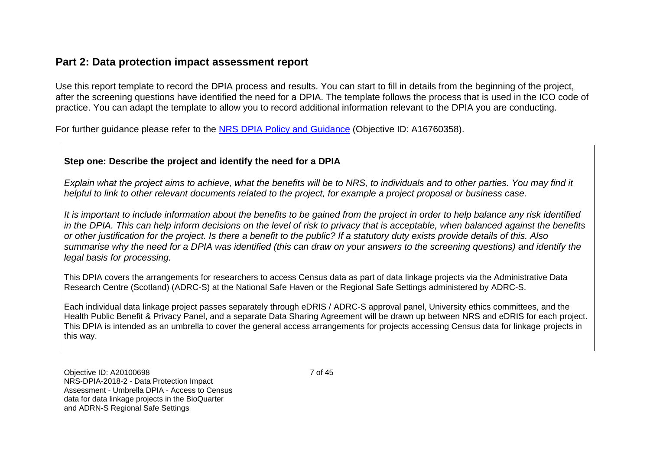# **Part 2: Data protection impact assessment report**

Use this report template to record the DPIA process and results. You can start to fill in details from the beginning of the project, after the screening questions have identified the need for a DPIA. The template follows the process that is used in the ICO code of practice. You can adapt the template to allow you to record additional information relevant to the DPIA you are conducting.

For further guidance please refer to the [NRS DPIA Policy and Guidance](https://erdm.scotland.gov.uk/id:A16760358/document/versions/latest) (Objective ID: A16760358).

## **Step one: Describe the project and identify the need for a DPIA**

*Explain what the project aims to achieve, what the benefits will be to NRS, to individuals and to other parties. You may find it helpful to link to other relevant documents related to the project, for example a project proposal or business case.* 

*It is important to include information about the benefits to be gained from the project in order to help balance any risk identified in the DPIA. This can help inform decisions on the level of risk to privacy that is acceptable, when balanced against the benefits or other justification for the project. Is there a benefit to the public? If a statutory duty exists provide details of this. Also summarise why the need for a DPIA was identified (this can draw on your answers to the screening questions) and identify the legal basis for processing.*

This DPIA covers the arrangements for researchers to access Census data as part of data linkage projects via the Administrative Data Research Centre (Scotland) (ADRC-S) at the National Safe Haven or the Regional Safe Settings administered by ADRC-S.

Each individual data linkage project passes separately through eDRIS / ADRC-S approval panel, University ethics committees, and the Health Public Benefit & Privacy Panel, and a separate Data Sharing Agreement will be drawn up between NRS and eDRIS for each project. This DPIA is intended as an umbrella to cover the general access arrangements for projects accessing Census data for linkage projects in this way.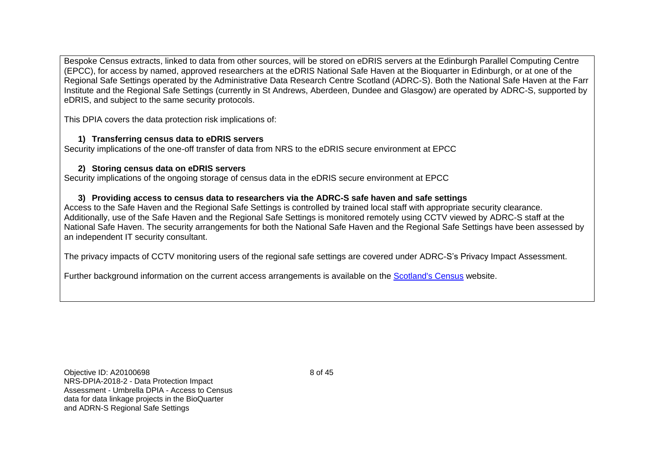Bespoke Census extracts, linked to data from other sources, will be stored on eDRIS servers at the Edinburgh Parallel Computing Centre (EPCC), for access by named, approved researchers at the eDRIS National Safe Haven at the Bioquarter in Edinburgh, or at one of the Regional Safe Settings operated by the Administrative Data Research Centre Scotland (ADRC-S). Both the National Safe Haven at the Farr Institute and the Regional Safe Settings (currently in St Andrews, Aberdeen, Dundee and Glasgow) are operated by ADRC-S, supported by eDRIS, and subject to the same security protocols.

This DPIA covers the data protection risk implications of:

#### **1) Transferring census data to eDRIS servers**

Security implications of the one-off transfer of data from NRS to the eDRIS secure environment at EPCC

#### **2) Storing census data on eDRIS servers**

Security implications of the ongoing storage of census data in the eDRIS secure environment at EPCC

#### **3) Providing access to census data to researchers via the ADRC-S safe haven and safe settings**

Access to the Safe Haven and the Regional Safe Settings is controlled by trained local staff with appropriate security clearance. Additionally, use of the Safe Haven and the Regional Safe Settings is monitored remotely using CCTV viewed by ADRC-S staff at the National Safe Haven. The security arrangements for both the National Safe Haven and the Regional Safe Settings have been assessed by an independent IT security consultant.

The privacy impacts of CCTV monitoring users of the regional safe settings are covered under ADRC-S's Privacy Impact Assessment.

Further background information on the current access arrangements is available on the [Scotland's Census](http://www.scotlandscensus.gov.uk/secure-microdata-files) website.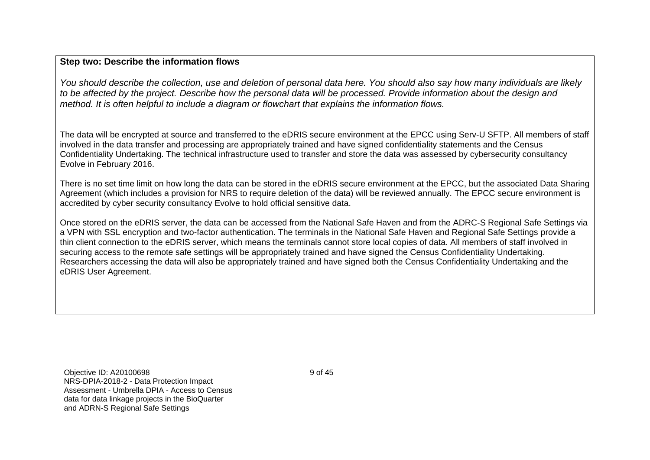#### **Step two: Describe the information flows**

*You should describe the collection, use and deletion of personal data here. You should also say how many individuals are likely to be affected by the project. Describe how the personal data will be processed. Provide information about the design and method. It is often helpful to include a diagram or flowchart that explains the information flows.* 

The data will be encrypted at source and transferred to the eDRIS secure environment at the EPCC using Serv-U SFTP. All members of staff involved in the data transfer and processing are appropriately trained and have signed confidentiality statements and the Census Confidentiality Undertaking. The technical infrastructure used to transfer and store the data was assessed by cybersecurity consultancy Evolve in February 2016.

There is no set time limit on how long the data can be stored in the eDRIS secure environment at the EPCC, but the associated Data Sharing Agreement (which includes a provision for NRS to require deletion of the data) will be reviewed annually. The EPCC secure environment is accredited by cyber security consultancy Evolve to hold official sensitive data.

Once stored on the eDRIS server, the data can be accessed from the National Safe Haven and from the ADRC-S Regional Safe Settings via a VPN with SSL encryption and two-factor authentication. The terminals in the National Safe Haven and Regional Safe Settings provide a thin client connection to the eDRIS server, which means the terminals cannot store local copies of data. All members of staff involved in securing access to the remote safe settings will be appropriately trained and have signed the Census Confidentiality Undertaking. Researchers accessing the data will also be appropriately trained and have signed both the Census Confidentiality Undertaking and the eDRIS User Agreement.

Objective ID: A20100698 NRS-DPIA-2018-2 - Data Protection Impact Assessment - Umbrella DPIA - Access to Census data for data linkage projects in the BioQuarter and ADRN-S Regional Safe Settings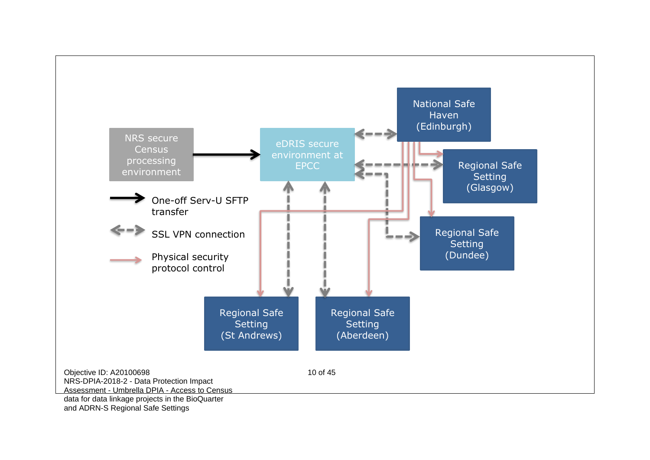

and ADRN-S Regional Safe Settings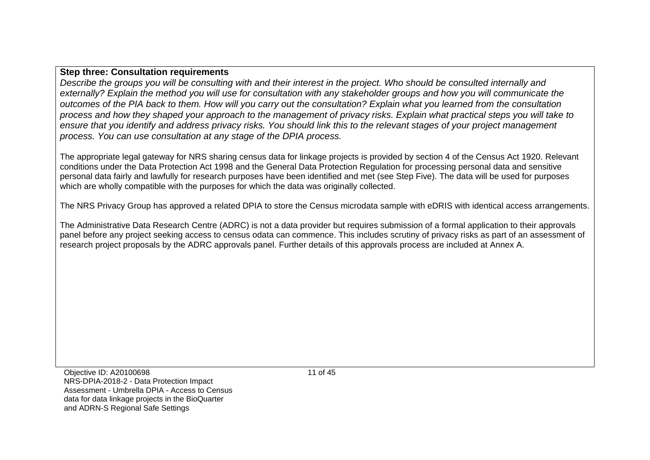#### **Step three: Consultation requirements**

*Describe the groups you will be consulting with and their interest in the project. Who should be consulted internally and externally? Explain the method you will use for consultation with any stakeholder groups and how you will communicate the outcomes of the PIA back to them. How will you carry out the consultation? Explain what you learned from the consultation process and how they shaped your approach to the management of privacy risks. Explain what practical steps you will take to ensure that you identify and address privacy risks. You should link this to the relevant stages of your project management process. You can use consultation at any stage of the DPIA process.*

The appropriate legal gateway for NRS sharing census data for linkage projects is provided by section 4 of the Census Act 1920. Relevant conditions under the Data Protection Act 1998 and the General Data Protection Regulation for processing personal data and sensitive personal data fairly and lawfully for research purposes have been identified and met (see Step Five). The data will be used for purposes which are wholly compatible with the purposes for which the data was originally collected.

The NRS Privacy Group has approved a related DPIA to store the Census microdata sample with eDRIS with identical access arrangements.

The Administrative Data Research Centre (ADRC) is not a data provider but requires submission of a formal application to their approvals panel before any project seeking access to census odata can commence. This includes scrutiny of privacy risks as part of an assessment of research project proposals by the ADRC approvals panel. Further details of this approvals process are included at Annex A.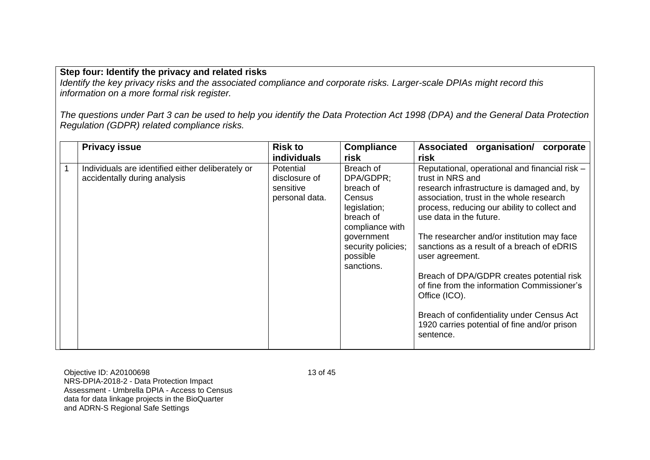#### **Step four: Identify the privacy and related risks**

*Identify the key privacy risks and the associated compliance and corporate risks. Larger-scale DPIAs might record this information on a more formal risk register.*

*The questions under Part 3 can be used to help you identify the Data Protection Act 1998 (DPA) and the General Data Protection Regulation (GDPR) related compliance risks.* 

| <b>Privacy issue</b>                                                              | <b>Risk to</b><br><b>individuals</b>                             | <b>Compliance</b><br>risk                                                                                                                                   | <b>Associated</b><br>organisation/ corporate<br>risk                                                                                                                                                                                                                                                                                                                                                                                                                                                                                                                           |
|-----------------------------------------------------------------------------------|------------------------------------------------------------------|-------------------------------------------------------------------------------------------------------------------------------------------------------------|--------------------------------------------------------------------------------------------------------------------------------------------------------------------------------------------------------------------------------------------------------------------------------------------------------------------------------------------------------------------------------------------------------------------------------------------------------------------------------------------------------------------------------------------------------------------------------|
| Individuals are identified either deliberately or<br>accidentally during analysis | <b>Potential</b><br>disclosure of<br>sensitive<br>personal data. | Breach of<br>DPA/GDPR:<br>breach of<br>Census<br>legislation;<br>breach of<br>compliance with<br>government<br>security policies;<br>possible<br>sanctions. | Reputational, operational and financial risk -<br>trust in NRS and<br>research infrastructure is damaged and, by<br>association, trust in the whole research<br>process, reducing our ability to collect and<br>use data in the future.<br>The researcher and/or institution may face<br>sanctions as a result of a breach of eDRIS<br>user agreement.<br>Breach of DPA/GDPR creates potential risk<br>of fine from the information Commissioner's<br>Office (ICO).<br>Breach of confidentiality under Census Act<br>1920 carries potential of fine and/or prison<br>sentence. |

Objective ID: A20100698 NRS-DPIA-2018-2 - Data Protection Impact Assessment - Umbrella DPIA - Access to Census data for data linkage projects in the BioQuarter and ADRN-S Regional Safe Settings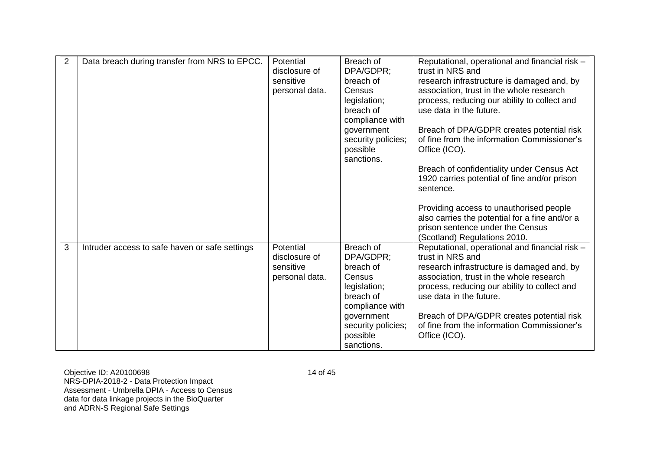| $\overline{2}$ | Data breach during transfer from NRS to EPCC.  | Potential      | Breach of                 | Reputational, operational and financial risk -                          |
|----------------|------------------------------------------------|----------------|---------------------------|-------------------------------------------------------------------------|
|                |                                                | disclosure of  | DPA/GDPR:                 | trust in NRS and                                                        |
|                |                                                | sensitive      | breach of                 | research infrastructure is damaged and, by                              |
|                |                                                | personal data. | Census                    | association, trust in the whole research                                |
|                |                                                |                | legislation;              | process, reducing our ability to collect and                            |
|                |                                                |                | breach of                 | use data in the future.                                                 |
|                |                                                |                | compliance with           |                                                                         |
|                |                                                |                | government                | Breach of DPA/GDPR creates potential risk                               |
|                |                                                |                | security policies;        | of fine from the information Commissioner's                             |
|                |                                                |                | possible                  | Office (ICO).                                                           |
|                |                                                |                | sanctions.                |                                                                         |
|                |                                                |                |                           | Breach of confidentiality under Census Act                              |
|                |                                                |                |                           | 1920 carries potential of fine and/or prison                            |
|                |                                                |                |                           | sentence.                                                               |
|                |                                                |                |                           |                                                                         |
|                |                                                |                |                           | Providing access to unauthorised people                                 |
|                |                                                |                |                           | also carries the potential for a fine and/or a                          |
|                |                                                |                |                           | prison sentence under the Census                                        |
|                |                                                |                |                           | (Scotland) Regulations 2010.                                            |
| 3              | Intruder access to safe haven or safe settings | Potential      | Breach of                 | Reputational, operational and financial risk -<br>trust in NRS and      |
|                |                                                | disclosure of  | DPA/GDPR;                 |                                                                         |
|                |                                                | sensitive      | breach of<br>Census       | research infrastructure is damaged and, by                              |
|                |                                                | personal data. |                           | association, trust in the whole research                                |
|                |                                                |                | legislation;<br>breach of | process, reducing our ability to collect and<br>use data in the future. |
|                |                                                |                | compliance with           |                                                                         |
|                |                                                |                | government                | Breach of DPA/GDPR creates potential risk                               |
|                |                                                |                | security policies;        | of fine from the information Commissioner's                             |
|                |                                                |                | possible                  | Office (ICO).                                                           |
|                |                                                |                | sanctions.                |                                                                         |
|                |                                                |                |                           |                                                                         |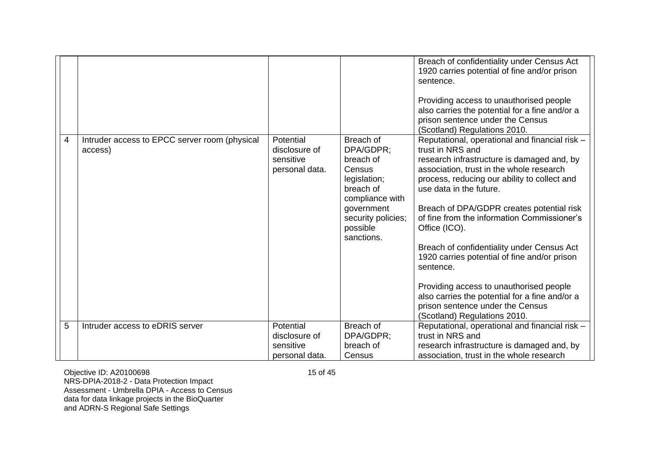| 4<br>5 | Intruder access to EPCC server room (physical<br>access)<br>Intruder access to eDRIS server | Potential<br>disclosure of<br>sensitive<br>personal data.<br>Potential | Breach of<br>DPA/GDPR:<br>breach of<br>Census<br>legislation;<br>breach of<br>compliance with<br>government<br>security policies;<br>possible<br>sanctions.<br>Breach of | Breach of confidentiality under Census Act<br>1920 carries potential of fine and/or prison<br>sentence.<br>Providing access to unauthorised people<br>also carries the potential for a fine and/or a<br>prison sentence under the Census<br>(Scotland) Regulations 2010.<br>Reputational, operational and financial risk -<br>trust in NRS and<br>research infrastructure is damaged and, by<br>association, trust in the whole research<br>process, reducing our ability to collect and<br>use data in the future.<br>Breach of DPA/GDPR creates potential risk<br>of fine from the information Commissioner's<br>Office (ICO).<br>Breach of confidentiality under Census Act<br>1920 carries potential of fine and/or prison<br>sentence.<br>Providing access to unauthorised people<br>also carries the potential for a fine and/or a<br>prison sentence under the Census<br>(Scotland) Regulations 2010.<br>Reputational, operational and financial risk - |
|--------|---------------------------------------------------------------------------------------------|------------------------------------------------------------------------|--------------------------------------------------------------------------------------------------------------------------------------------------------------------------|----------------------------------------------------------------------------------------------------------------------------------------------------------------------------------------------------------------------------------------------------------------------------------------------------------------------------------------------------------------------------------------------------------------------------------------------------------------------------------------------------------------------------------------------------------------------------------------------------------------------------------------------------------------------------------------------------------------------------------------------------------------------------------------------------------------------------------------------------------------------------------------------------------------------------------------------------------------|
|        |                                                                                             | disclosure of                                                          | DPA/GDPR;                                                                                                                                                                | trust in NRS and                                                                                                                                                                                                                                                                                                                                                                                                                                                                                                                                                                                                                                                                                                                                                                                                                                                                                                                                               |
|        |                                                                                             | sensitive                                                              | breach of                                                                                                                                                                | research infrastructure is damaged and, by                                                                                                                                                                                                                                                                                                                                                                                                                                                                                                                                                                                                                                                                                                                                                                                                                                                                                                                     |
|        |                                                                                             | personal data.                                                         | Census                                                                                                                                                                   | association, trust in the whole research                                                                                                                                                                                                                                                                                                                                                                                                                                                                                                                                                                                                                                                                                                                                                                                                                                                                                                                       |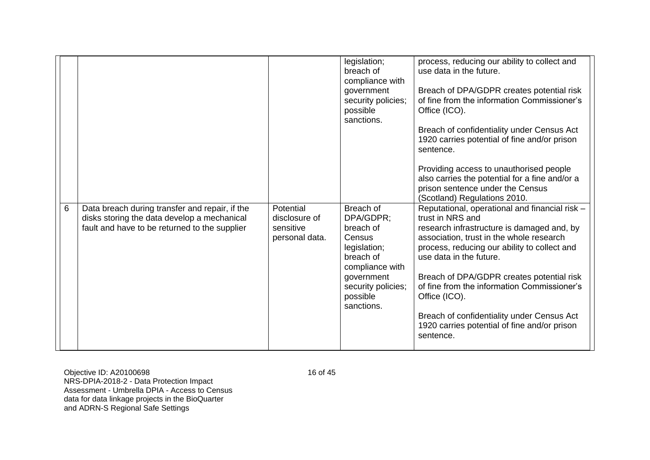|   |                                                |                | legislation;       | process, reducing our ability to collect and   |
|---|------------------------------------------------|----------------|--------------------|------------------------------------------------|
|   |                                                |                | breach of          | use data in the future.                        |
|   |                                                |                | compliance with    |                                                |
|   |                                                |                | government         | Breach of DPA/GDPR creates potential risk      |
|   |                                                |                |                    |                                                |
|   |                                                |                | security policies; | of fine from the information Commissioner's    |
|   |                                                |                | possible           | Office (ICO).                                  |
|   |                                                |                | sanctions.         |                                                |
|   |                                                |                |                    | Breach of confidentiality under Census Act     |
|   |                                                |                |                    | 1920 carries potential of fine and/or prison   |
|   |                                                |                |                    |                                                |
|   |                                                |                |                    | sentence.                                      |
|   |                                                |                |                    |                                                |
|   |                                                |                |                    | Providing access to unauthorised people        |
|   |                                                |                |                    | also carries the potential for a fine and/or a |
|   |                                                |                |                    | prison sentence under the Census               |
|   |                                                |                |                    | (Scotland) Regulations 2010.                   |
|   |                                                |                |                    |                                                |
|   |                                                |                |                    |                                                |
| 6 | Data breach during transfer and repair, if the | Potential      | Breach of          | Reputational, operational and financial risk - |
|   | disks storing the data develop a mechanical    | disclosure of  | DPA/GDPR;          | trust in NRS and                               |
|   | fault and have to be returned to the supplier  | sensitive      | breach of          | research infrastructure is damaged and, by     |
|   |                                                |                | Census             |                                                |
|   |                                                | personal data. |                    | association, trust in the whole research       |
|   |                                                |                | legislation;       | process, reducing our ability to collect and   |
|   |                                                |                | breach of          | use data in the future.                        |
|   |                                                |                | compliance with    |                                                |
|   |                                                |                | government         | Breach of DPA/GDPR creates potential risk      |
|   |                                                |                | security policies; | of fine from the information Commissioner's    |
|   |                                                |                |                    |                                                |
|   |                                                |                | possible           | Office (ICO).                                  |
|   |                                                |                | sanctions.         |                                                |
|   |                                                |                |                    | Breach of confidentiality under Census Act     |
|   |                                                |                |                    | 1920 carries potential of fine and/or prison   |
|   |                                                |                |                    | sentence.                                      |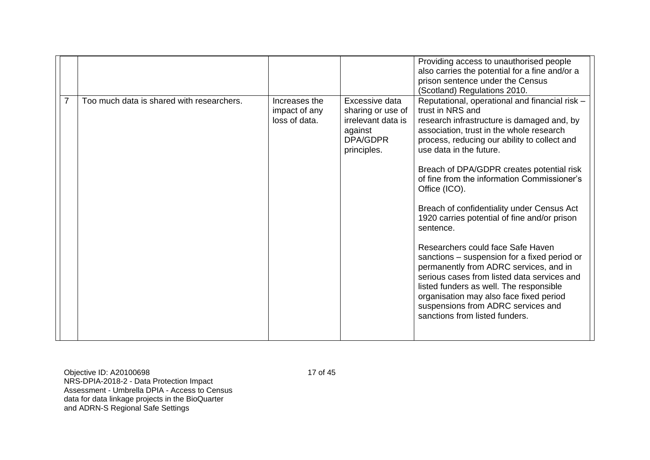|                                           |                                                 |                                                                                                 | Providing access to unauthorised people<br>also carries the potential for a fine and/or a<br>prison sentence under the Census<br>(Scotland) Regulations 2010.                                                                                                                                                                                                                                                                                                                                                                                                                                                                                                                                                                                                                                               |
|-------------------------------------------|-------------------------------------------------|-------------------------------------------------------------------------------------------------|-------------------------------------------------------------------------------------------------------------------------------------------------------------------------------------------------------------------------------------------------------------------------------------------------------------------------------------------------------------------------------------------------------------------------------------------------------------------------------------------------------------------------------------------------------------------------------------------------------------------------------------------------------------------------------------------------------------------------------------------------------------------------------------------------------------|
| Too much data is shared with researchers. | Increases the<br>impact of any<br>loss of data. | Excessive data<br>sharing or use of<br>irrelevant data is<br>against<br>DPA/GDPR<br>principles. | Reputational, operational and financial risk -<br>trust in NRS and<br>research infrastructure is damaged and, by<br>association, trust in the whole research<br>process, reducing our ability to collect and<br>use data in the future.<br>Breach of DPA/GDPR creates potential risk<br>of fine from the information Commissioner's<br>Office (ICO).<br>Breach of confidentiality under Census Act<br>1920 carries potential of fine and/or prison<br>sentence.<br>Researchers could face Safe Haven<br>sanctions – suspension for a fixed period or<br>permanently from ADRC services, and in<br>serious cases from listed data services and<br>listed funders as well. The responsible<br>organisation may also face fixed period<br>suspensions from ADRC services and<br>sanctions from listed funders. |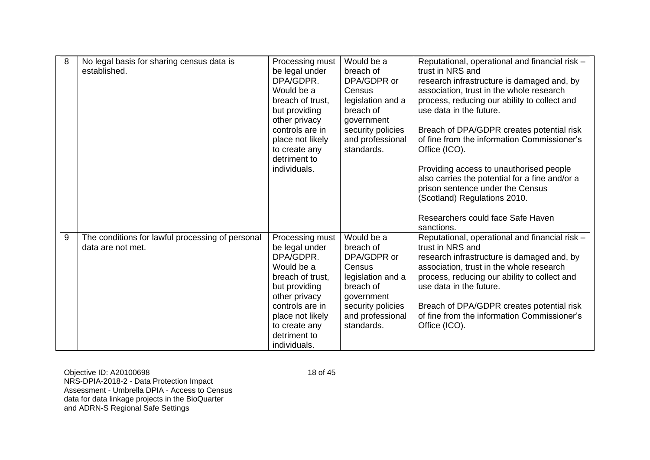| 8 | No legal basis for sharing census data is<br>established.             | Processing must<br>be legal under<br>DPA/GDPR.<br>Would be a<br>breach of trust,<br>but providing<br>other privacy<br>controls are in<br>place not likely<br>to create any<br>detriment to<br>individuals. | Would be a<br>breach of<br>DPA/GDPR or<br>Census<br>legislation and a<br>breach of<br>government<br>security policies<br>and professional<br>standards. | Reputational, operational and financial risk -<br>trust in NRS and<br>research infrastructure is damaged and, by<br>association, trust in the whole research<br>process, reducing our ability to collect and<br>use data in the future.<br>Breach of DPA/GDPR creates potential risk<br>of fine from the information Commissioner's<br>Office (ICO).<br>Providing access to unauthorised people<br>also carries the potential for a fine and/or a<br>prison sentence under the Census<br>(Scotland) Regulations 2010.<br>Researchers could face Safe Haven<br>sanctions. |
|---|-----------------------------------------------------------------------|------------------------------------------------------------------------------------------------------------------------------------------------------------------------------------------------------------|---------------------------------------------------------------------------------------------------------------------------------------------------------|--------------------------------------------------------------------------------------------------------------------------------------------------------------------------------------------------------------------------------------------------------------------------------------------------------------------------------------------------------------------------------------------------------------------------------------------------------------------------------------------------------------------------------------------------------------------------|
| 9 | The conditions for lawful processing of personal<br>data are not met. | Processing must<br>be legal under<br>DPA/GDPR.<br>Would be a<br>breach of trust,<br>but providing<br>other privacy<br>controls are in<br>place not likely<br>to create any<br>detriment to<br>individuals. | Would be a<br>breach of<br>DPA/GDPR or<br>Census<br>legislation and a<br>breach of<br>government<br>security policies<br>and professional<br>standards. | Reputational, operational and financial risk -<br>trust in NRS and<br>research infrastructure is damaged and, by<br>association, trust in the whole research<br>process, reducing our ability to collect and<br>use data in the future.<br>Breach of DPA/GDPR creates potential risk<br>of fine from the information Commissioner's<br>Office (ICO).                                                                                                                                                                                                                     |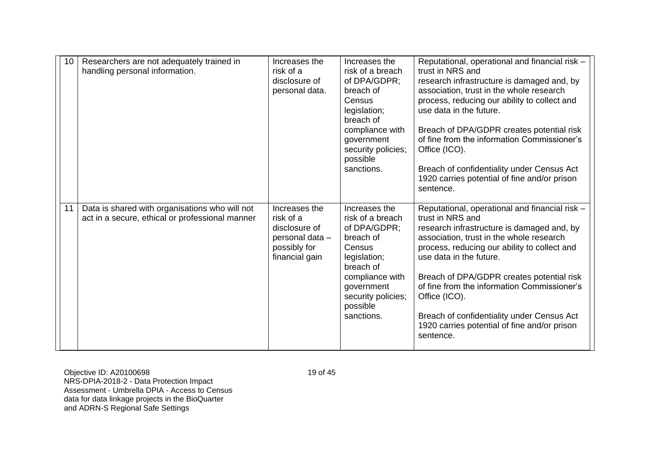| 10 <sup>°</sup> | Researchers are not adequately trained in<br>handling personal information.                       | Increases the<br>risk of a<br>disclosure of<br>personal data.                                    | Increases the<br>risk of a breach<br>of DPA/GDPR;<br>breach of<br>Census<br>legislation;<br>breach of<br>compliance with<br>government<br>security policies;<br>possible<br>sanctions. | Reputational, operational and financial risk -<br>trust in NRS and<br>research infrastructure is damaged and, by<br>association, trust in the whole research<br>process, reducing our ability to collect and<br>use data in the future.<br>Breach of DPA/GDPR creates potential risk<br>of fine from the information Commissioner's<br>Office (ICO).<br>Breach of confidentiality under Census Act<br>1920 carries potential of fine and/or prison<br>sentence. |
|-----------------|---------------------------------------------------------------------------------------------------|--------------------------------------------------------------------------------------------------|----------------------------------------------------------------------------------------------------------------------------------------------------------------------------------------|-----------------------------------------------------------------------------------------------------------------------------------------------------------------------------------------------------------------------------------------------------------------------------------------------------------------------------------------------------------------------------------------------------------------------------------------------------------------|
| 11              | Data is shared with organisations who will not<br>act in a secure, ethical or professional manner | Increases the<br>risk of a<br>disclosure of<br>personal data -<br>possibly for<br>financial gain | Increases the<br>risk of a breach<br>of DPA/GDPR;<br>breach of<br>Census<br>legislation;<br>breach of<br>compliance with<br>government<br>security policies;<br>possible<br>sanctions. | Reputational, operational and financial risk -<br>trust in NRS and<br>research infrastructure is damaged and, by<br>association, trust in the whole research<br>process, reducing our ability to collect and<br>use data in the future.<br>Breach of DPA/GDPR creates potential risk<br>of fine from the information Commissioner's<br>Office (ICO).<br>Breach of confidentiality under Census Act<br>1920 carries potential of fine and/or prison<br>sentence. |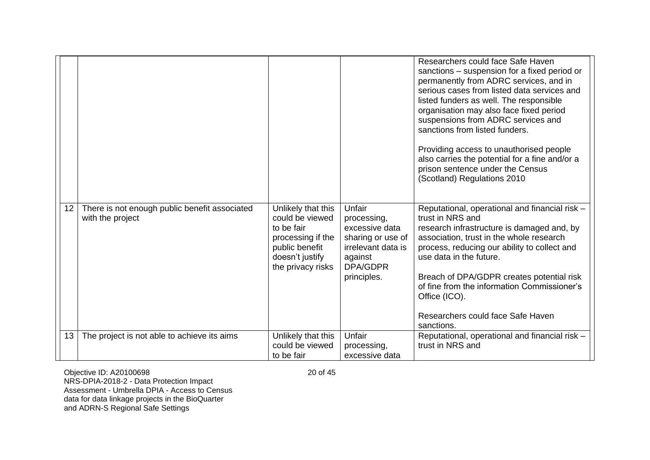|                 |                                                                   |                                                                                                                                    |                                                                                                                          | Researchers could face Safe Haven<br>sanctions - suspension for a fixed period or<br>permanently from ADRC services, and in<br>serious cases from listed data services and<br>listed funders as well. The responsible<br>organisation may also face fixed period<br>suspensions from ADRC services and<br>sanctions from listed funders.<br>Providing access to unauthorised people<br>also carries the potential for a fine and/or a<br>prison sentence under the Census<br>(Scotland) Regulations 2010 |
|-----------------|-------------------------------------------------------------------|------------------------------------------------------------------------------------------------------------------------------------|--------------------------------------------------------------------------------------------------------------------------|----------------------------------------------------------------------------------------------------------------------------------------------------------------------------------------------------------------------------------------------------------------------------------------------------------------------------------------------------------------------------------------------------------------------------------------------------------------------------------------------------------|
| 12 <sup>1</sup> | There is not enough public benefit associated<br>with the project | Unlikely that this<br>could be viewed<br>to be fair<br>processing if the<br>public benefit<br>doesn't justify<br>the privacy risks | Unfair<br>processing,<br>excessive data<br>sharing or use of<br>irrelevant data is<br>against<br>DPA/GDPR<br>principles. | Reputational, operational and financial risk -<br>trust in NRS and<br>research infrastructure is damaged and, by<br>association, trust in the whole research<br>process, reducing our ability to collect and<br>use data in the future.<br>Breach of DPA/GDPR creates potential risk<br>of fine from the information Commissioner's<br>Office (ICO).<br>Researchers could face Safe Haven<br>sanctions.                                                                                                  |
| 13 <sup>1</sup> | The project is not able to achieve its aims                       | Unlikely that this<br>could be viewed<br>to be fair                                                                                | Unfair<br>processing,<br>excessive data                                                                                  | Reputational, operational and financial risk -<br>trust in NRS and                                                                                                                                                                                                                                                                                                                                                                                                                                       |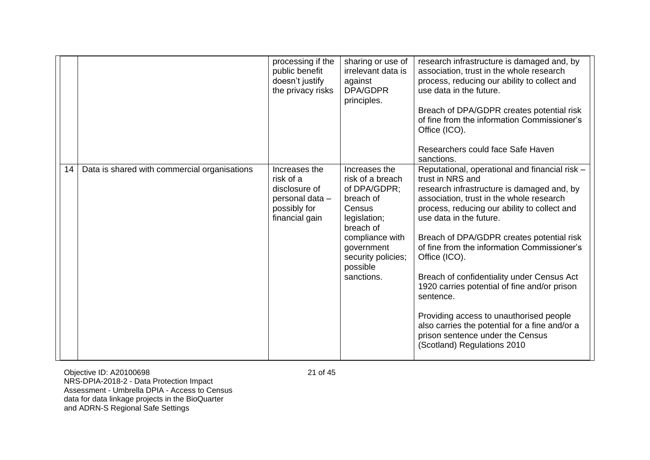|    |                                              | processing if the<br>public benefit<br>doesn't justify<br>the privacy risks                      | sharing or use of<br>irrelevant data is<br>against<br>DPA/GDPR<br>principles.                                                                                                          | research infrastructure is damaged and, by<br>association, trust in the whole research<br>process, reducing our ability to collect and<br>use data in the future.<br>Breach of DPA/GDPR creates potential risk<br>of fine from the information Commissioner's<br>Office (ICO).<br>Researchers could face Safe Haven<br>sanctions.                                                                                                                                                                                                                                                                                               |
|----|----------------------------------------------|--------------------------------------------------------------------------------------------------|----------------------------------------------------------------------------------------------------------------------------------------------------------------------------------------|---------------------------------------------------------------------------------------------------------------------------------------------------------------------------------------------------------------------------------------------------------------------------------------------------------------------------------------------------------------------------------------------------------------------------------------------------------------------------------------------------------------------------------------------------------------------------------------------------------------------------------|
| 14 | Data is shared with commercial organisations | Increases the<br>risk of a<br>disclosure of<br>personal data -<br>possibly for<br>financial gain | Increases the<br>risk of a breach<br>of DPA/GDPR;<br>breach of<br>Census<br>legislation;<br>breach of<br>compliance with<br>government<br>security policies;<br>possible<br>sanctions. | Reputational, operational and financial risk -<br>trust in NRS and<br>research infrastructure is damaged and, by<br>association, trust in the whole research<br>process, reducing our ability to collect and<br>use data in the future.<br>Breach of DPA/GDPR creates potential risk<br>of fine from the information Commissioner's<br>Office (ICO).<br>Breach of confidentiality under Census Act<br>1920 carries potential of fine and/or prison<br>sentence.<br>Providing access to unauthorised people<br>also carries the potential for a fine and/or a<br>prison sentence under the Census<br>(Scotland) Regulations 2010 |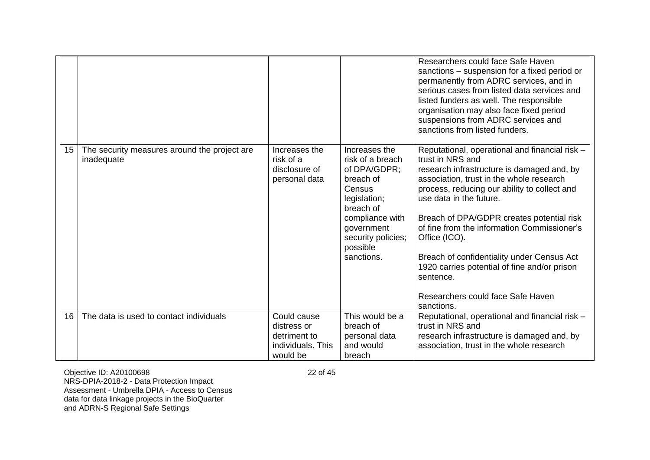|                 |                                                            |                                                                             |                                                                                                                                                                                        | Researchers could face Safe Haven<br>sanctions – suspension for a fixed period or<br>permanently from ADRC services, and in<br>serious cases from listed data services and<br>listed funders as well. The responsible<br>organisation may also face fixed period<br>suspensions from ADRC services and<br>sanctions from listed funders.                                                                                                                                                                           |
|-----------------|------------------------------------------------------------|-----------------------------------------------------------------------------|----------------------------------------------------------------------------------------------------------------------------------------------------------------------------------------|--------------------------------------------------------------------------------------------------------------------------------------------------------------------------------------------------------------------------------------------------------------------------------------------------------------------------------------------------------------------------------------------------------------------------------------------------------------------------------------------------------------------|
| 15 <sub>1</sub> | The security measures around the project are<br>inadequate | Increases the<br>risk of a<br>disclosure of<br>personal data                | Increases the<br>risk of a breach<br>of DPA/GDPR;<br>breach of<br>Census<br>legislation;<br>breach of<br>compliance with<br>government<br>security policies;<br>possible<br>sanctions. | Reputational, operational and financial risk -<br>trust in NRS and<br>research infrastructure is damaged and, by<br>association, trust in the whole research<br>process, reducing our ability to collect and<br>use data in the future.<br>Breach of DPA/GDPR creates potential risk<br>of fine from the information Commissioner's<br>Office (ICO).<br>Breach of confidentiality under Census Act<br>1920 carries potential of fine and/or prison<br>sentence.<br>Researchers could face Safe Haven<br>sanctions. |
| 16              | The data is used to contact individuals                    | Could cause<br>distress or<br>detriment to<br>individuals. This<br>would be | This would be a<br>breach of<br>personal data<br>and would<br>breach                                                                                                                   | Reputational, operational and financial risk -<br>trust in NRS and<br>research infrastructure is damaged and, by<br>association, trust in the whole research                                                                                                                                                                                                                                                                                                                                                       |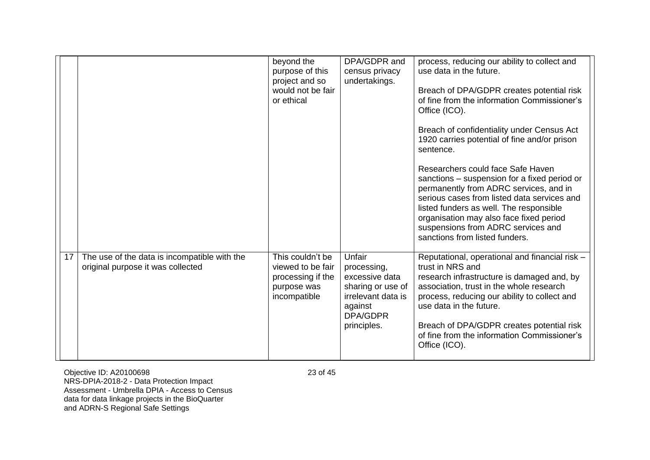|                 |                                                                                   | beyond the<br>purpose of this<br>project and so<br>would not be fair<br>or ethical        | DPA/GDPR and<br>census privacy<br>undertakings.                                                                                 | process, reducing our ability to collect and<br>use data in the future.<br>Breach of DPA/GDPR creates potential risk<br>of fine from the information Commissioner's<br>Office (ICO).<br>Breach of confidentiality under Census Act<br>1920 carries potential of fine and/or prison<br>sentence.<br>Researchers could face Safe Haven<br>sanctions – suspension for a fixed period or<br>permanently from ADRC services, and in<br>serious cases from listed data services and<br>listed funders as well. The responsible<br>organisation may also face fixed period<br>suspensions from ADRC services and<br>sanctions from listed funders. |
|-----------------|-----------------------------------------------------------------------------------|-------------------------------------------------------------------------------------------|---------------------------------------------------------------------------------------------------------------------------------|---------------------------------------------------------------------------------------------------------------------------------------------------------------------------------------------------------------------------------------------------------------------------------------------------------------------------------------------------------------------------------------------------------------------------------------------------------------------------------------------------------------------------------------------------------------------------------------------------------------------------------------------|
| 17 <sup>1</sup> | The use of the data is incompatible with the<br>original purpose it was collected | This couldn't be<br>viewed to be fair<br>processing if the<br>purpose was<br>incompatible | Unfair<br>processing,<br>excessive data<br>sharing or use of<br>irrelevant data is<br>against<br><b>DPA/GDPR</b><br>principles. | Reputational, operational and financial risk -<br>trust in NRS and<br>research infrastructure is damaged and, by<br>association, trust in the whole research<br>process, reducing our ability to collect and<br>use data in the future.<br>Breach of DPA/GDPR creates potential risk<br>of fine from the information Commissioner's<br>Office (ICO).                                                                                                                                                                                                                                                                                        |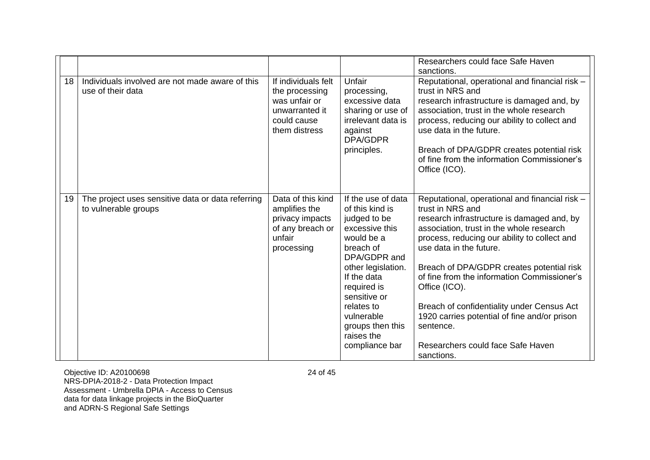|    |                                                                           |                                                                                                          |                                                                                                                                                                                                                                                                        | Researchers could face Safe Haven<br>sanctions.                                                                                                                                                                                                                                                                                                                                                                                                                                                                    |
|----|---------------------------------------------------------------------------|----------------------------------------------------------------------------------------------------------|------------------------------------------------------------------------------------------------------------------------------------------------------------------------------------------------------------------------------------------------------------------------|--------------------------------------------------------------------------------------------------------------------------------------------------------------------------------------------------------------------------------------------------------------------------------------------------------------------------------------------------------------------------------------------------------------------------------------------------------------------------------------------------------------------|
| 18 | Individuals involved are not made aware of this<br>use of their data      | If individuals felt<br>the processing<br>was unfair or<br>unwarranted it<br>could cause<br>them distress | Unfair<br>processing,<br>excessive data<br>sharing or use of<br>irrelevant data is<br>against<br><b>DPA/GDPR</b><br>principles.                                                                                                                                        | Reputational, operational and financial risk -<br>trust in NRS and<br>research infrastructure is damaged and, by<br>association, trust in the whole research<br>process, reducing our ability to collect and<br>use data in the future.<br>Breach of DPA/GDPR creates potential risk<br>of fine from the information Commissioner's<br>Office (ICO).                                                                                                                                                               |
| 19 | The project uses sensitive data or data referring<br>to vulnerable groups | Data of this kind<br>amplifies the<br>privacy impacts<br>of any breach or<br>unfair<br>processing        | If the use of data<br>of this kind is<br>judged to be<br>excessive this<br>would be a<br>breach of<br>DPA/GDPR and<br>other legislation.<br>If the data<br>required is<br>sensitive or<br>relates to<br>vulnerable<br>groups then this<br>raises the<br>compliance bar | Reputational, operational and financial risk -<br>trust in NRS and<br>research infrastructure is damaged and, by<br>association, trust in the whole research<br>process, reducing our ability to collect and<br>use data in the future.<br>Breach of DPA/GDPR creates potential risk<br>of fine from the information Commissioner's<br>Office (ICO).<br>Breach of confidentiality under Census Act<br>1920 carries potential of fine and/or prison<br>sentence.<br>Researchers could face Safe Haven<br>sanctions. |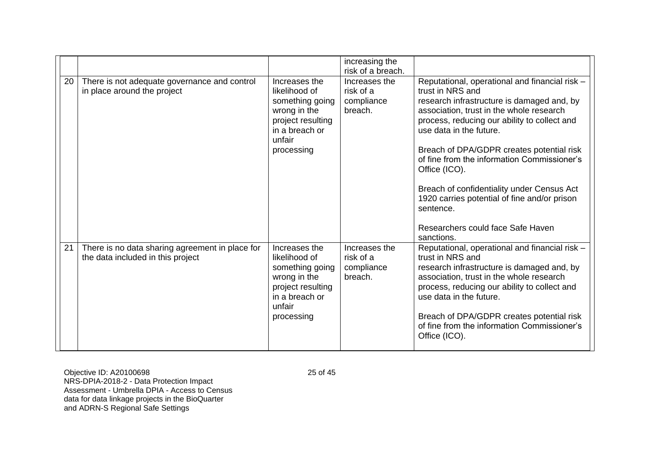|    |                                                                                      |                                                                                                                                  | increasing the<br>risk of a breach.                 |                                                                                                                                                                                                                                                                                                                                                                                                                                                                                                                    |
|----|--------------------------------------------------------------------------------------|----------------------------------------------------------------------------------------------------------------------------------|-----------------------------------------------------|--------------------------------------------------------------------------------------------------------------------------------------------------------------------------------------------------------------------------------------------------------------------------------------------------------------------------------------------------------------------------------------------------------------------------------------------------------------------------------------------------------------------|
| 20 | There is not adequate governance and control<br>in place around the project          | Increases the<br>likelihood of<br>something going<br>wrong in the<br>project resulting<br>in a breach or<br>unfair<br>processing | Increases the<br>risk of a<br>compliance<br>breach. | Reputational, operational and financial risk -<br>trust in NRS and<br>research infrastructure is damaged and, by<br>association, trust in the whole research<br>process, reducing our ability to collect and<br>use data in the future.<br>Breach of DPA/GDPR creates potential risk<br>of fine from the information Commissioner's<br>Office (ICO).<br>Breach of confidentiality under Census Act<br>1920 carries potential of fine and/or prison<br>sentence.<br>Researchers could face Safe Haven<br>sanctions. |
| 21 | There is no data sharing agreement in place for<br>the data included in this project | Increases the<br>likelihood of<br>something going<br>wrong in the<br>project resulting<br>in a breach or<br>unfair<br>processing | Increases the<br>risk of a<br>compliance<br>breach. | Reputational, operational and financial risk -<br>trust in NRS and<br>research infrastructure is damaged and, by<br>association, trust in the whole research<br>process, reducing our ability to collect and<br>use data in the future.<br>Breach of DPA/GDPR creates potential risk<br>of fine from the information Commissioner's<br>Office (ICO).                                                                                                                                                               |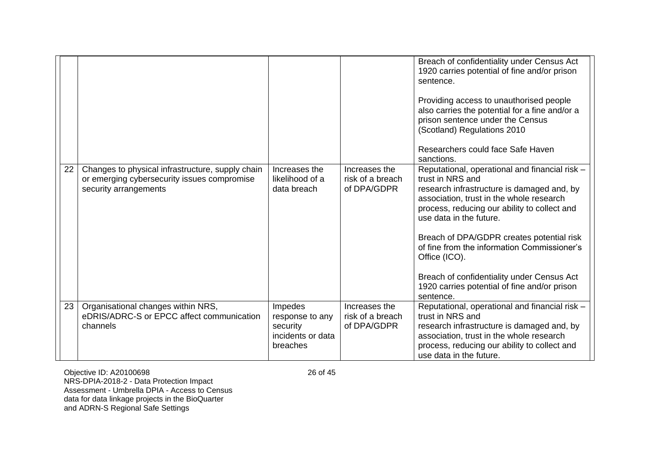|                 |                                                                                                                          |                                                                         |                                                  | Breach of confidentiality under Census Act<br>1920 carries potential of fine and/or prison<br>sentence.<br>Providing access to unauthorised people<br>also carries the potential for a fine and/or a<br>prison sentence under the Census<br>(Scotland) Regulations 2010<br>Researchers could face Safe Haven<br>sanctions.                                                                                                                                      |
|-----------------|--------------------------------------------------------------------------------------------------------------------------|-------------------------------------------------------------------------|--------------------------------------------------|-----------------------------------------------------------------------------------------------------------------------------------------------------------------------------------------------------------------------------------------------------------------------------------------------------------------------------------------------------------------------------------------------------------------------------------------------------------------|
| 22              | Changes to physical infrastructure, supply chain<br>or emerging cybersecurity issues compromise<br>security arrangements | Increases the<br>likelihood of a<br>data breach                         | Increases the<br>risk of a breach<br>of DPA/GDPR | Reputational, operational and financial risk -<br>trust in NRS and<br>research infrastructure is damaged and, by<br>association, trust in the whole research<br>process, reducing our ability to collect and<br>use data in the future.<br>Breach of DPA/GDPR creates potential risk<br>of fine from the information Commissioner's<br>Office (ICO).<br>Breach of confidentiality under Census Act<br>1920 carries potential of fine and/or prison<br>sentence. |
| 23 <sup>1</sup> | Organisational changes within NRS,<br>eDRIS/ADRC-S or EPCC affect communication<br>channels                              | Impedes<br>response to any<br>security<br>incidents or data<br>breaches | Increases the<br>risk of a breach<br>of DPA/GDPR | Reputational, operational and financial risk -<br>trust in NRS and<br>research infrastructure is damaged and, by<br>association, trust in the whole research<br>process, reducing our ability to collect and<br>use data in the future.                                                                                                                                                                                                                         |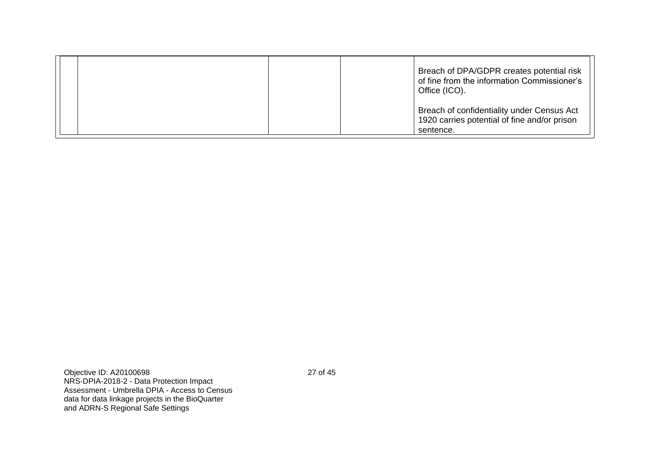| Breach of DPA/GDPR creates potential risk<br>of fine from the information Commissioner's<br>Office (ICO). |  |
|-----------------------------------------------------------------------------------------------------------|--|
| Breach of confidentiality under Census Act<br>1920 carries potential of fine and/or prison<br>sentence.   |  |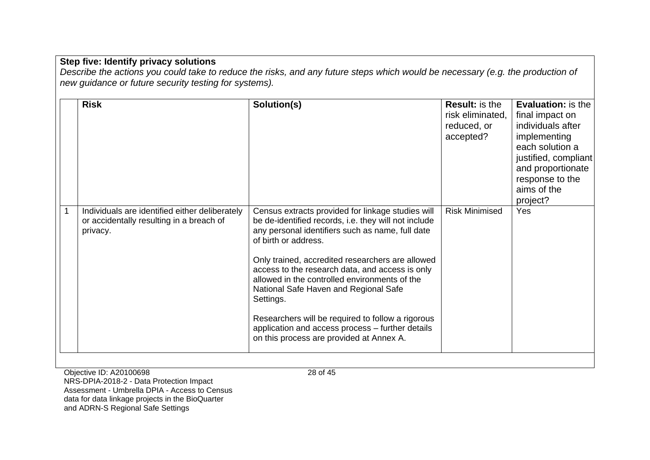|              | <b>Risk</b>                                                                                            | Solution(s)                                                                                                                                                                                                                                                                                                                                                                                                                                                                                                                                              | <b>Result:</b> is the<br>risk eliminated.<br>reduced, or<br>accepted? | <b>Evaluation:</b> is the<br>final impact on<br>individuals after<br>implementing<br>each solution a<br>justified, compliant<br>and proportionate<br>response to the<br>aims of the<br>project? |
|--------------|--------------------------------------------------------------------------------------------------------|----------------------------------------------------------------------------------------------------------------------------------------------------------------------------------------------------------------------------------------------------------------------------------------------------------------------------------------------------------------------------------------------------------------------------------------------------------------------------------------------------------------------------------------------------------|-----------------------------------------------------------------------|-------------------------------------------------------------------------------------------------------------------------------------------------------------------------------------------------|
| $\mathbf{1}$ | Individuals are identified either deliberately<br>or accidentally resulting in a breach of<br>privacy. | Census extracts provided for linkage studies will<br>be de-identified records, i.e. they will not include<br>any personal identifiers such as name, full date<br>of birth or address.<br>Only trained, accredited researchers are allowed<br>access to the research data, and access is only<br>allowed in the controlled environments of the<br>National Safe Haven and Regional Safe<br>Settings.<br>Researchers will be required to follow a rigorous<br>application and access process - further details<br>on this process are provided at Annex A. | <b>Risk Minimised</b>                                                 | Yes                                                                                                                                                                                             |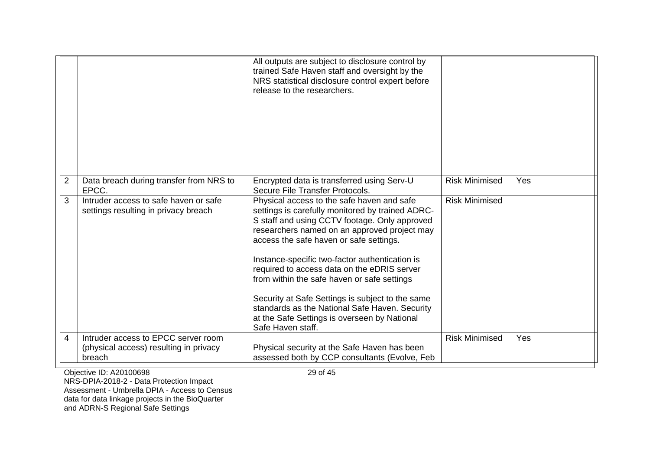|   |                                                                                         | All outputs are subject to disclosure control by<br>trained Safe Haven staff and oversight by the<br>NRS statistical disclosure control expert before<br>release to the researchers.                                                                                                                                                                                                                                                                                                                                                                                  |                       |     |
|---|-----------------------------------------------------------------------------------------|-----------------------------------------------------------------------------------------------------------------------------------------------------------------------------------------------------------------------------------------------------------------------------------------------------------------------------------------------------------------------------------------------------------------------------------------------------------------------------------------------------------------------------------------------------------------------|-----------------------|-----|
| 2 | Data breach during transfer from NRS to<br>EPCC.                                        | Encrypted data is transferred using Serv-U<br>Secure File Transfer Protocols.                                                                                                                                                                                                                                                                                                                                                                                                                                                                                         | <b>Risk Minimised</b> | Yes |
| 3 | Intruder access to safe haven or safe<br>settings resulting in privacy breach           | Physical access to the safe haven and safe<br>settings is carefully monitored by trained ADRC-<br>S staff and using CCTV footage. Only approved<br>researchers named on an approved project may<br>access the safe haven or safe settings.<br>Instance-specific two-factor authentication is<br>required to access data on the eDRIS server<br>from within the safe haven or safe settings<br>Security at Safe Settings is subject to the same<br>standards as the National Safe Haven. Security<br>at the Safe Settings is overseen by National<br>Safe Haven staff. | <b>Risk Minimised</b> |     |
| 4 | Intruder access to EPCC server room<br>(physical access) resulting in privacy<br>breach | Physical security at the Safe Haven has been<br>assessed both by CCP consultants (Evolve, Feb                                                                                                                                                                                                                                                                                                                                                                                                                                                                         | <b>Risk Minimised</b> | Yes |
|   |                                                                                         |                                                                                                                                                                                                                                                                                                                                                                                                                                                                                                                                                                       |                       |     |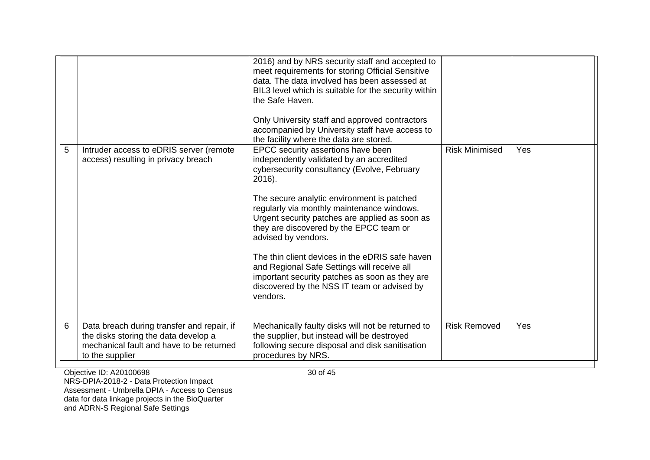| 5 | Intruder access to eDRIS server (remote<br>access) resulting in privacy breach                                                                    | 2016) and by NRS security staff and accepted to<br>meet requirements for storing Official Sensitive<br>data. The data involved has been assessed at<br>BIL3 level which is suitable for the security within<br>the Safe Haven.<br>Only University staff and approved contractors<br>accompanied by University staff have access to<br>the facility where the data are stored.<br>EPCC security assertions have been<br>independently validated by an accredited<br>cybersecurity consultancy (Evolve, February<br>2016).<br>The secure analytic environment is patched<br>regularly via monthly maintenance windows.<br>Urgent security patches are applied as soon as<br>they are discovered by the EPCC team or<br>advised by vendors.<br>The thin client devices in the eDRIS safe haven<br>and Regional Safe Settings will receive all<br>important security patches as soon as they are<br>discovered by the NSS IT team or advised by<br>vendors. | <b>Risk Minimised</b> | Yes |
|---|---------------------------------------------------------------------------------------------------------------------------------------------------|---------------------------------------------------------------------------------------------------------------------------------------------------------------------------------------------------------------------------------------------------------------------------------------------------------------------------------------------------------------------------------------------------------------------------------------------------------------------------------------------------------------------------------------------------------------------------------------------------------------------------------------------------------------------------------------------------------------------------------------------------------------------------------------------------------------------------------------------------------------------------------------------------------------------------------------------------------|-----------------------|-----|
| 6 | Data breach during transfer and repair, if<br>the disks storing the data develop a<br>mechanical fault and have to be returned<br>to the supplier | Mechanically faulty disks will not be returned to<br>the supplier, but instead will be destroyed<br>following secure disposal and disk sanitisation<br>procedures by NRS.                                                                                                                                                                                                                                                                                                                                                                                                                                                                                                                                                                                                                                                                                                                                                                               | <b>Risk Removed</b>   | Yes |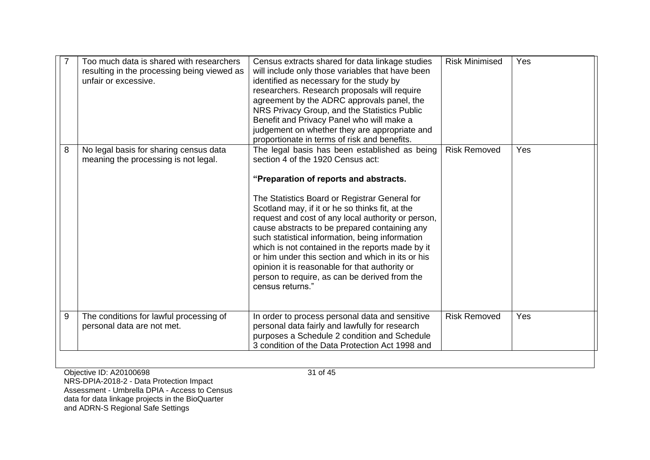|   | Too much data is shared with researchers<br>resulting in the processing being viewed as<br>unfair or excessive. | Census extracts shared for data linkage studies<br>will include only those variables that have been<br>identified as necessary for the study by<br>researchers. Research proposals will require<br>agreement by the ADRC approvals panel, the<br>NRS Privacy Group, and the Statistics Public<br>Benefit and Privacy Panel who will make a<br>judgement on whether they are appropriate and<br>proportionate in terms of risk and benefits.                                                                                                                                                                                | <b>Risk Minimised</b> | Yes |
|---|-----------------------------------------------------------------------------------------------------------------|----------------------------------------------------------------------------------------------------------------------------------------------------------------------------------------------------------------------------------------------------------------------------------------------------------------------------------------------------------------------------------------------------------------------------------------------------------------------------------------------------------------------------------------------------------------------------------------------------------------------------|-----------------------|-----|
| 8 | No legal basis for sharing census data<br>meaning the processing is not legal.                                  | The legal basis has been established as being<br>section 4 of the 1920 Census act:<br>"Preparation of reports and abstracts.<br>The Statistics Board or Registrar General for<br>Scotland may, if it or he so thinks fit, at the<br>request and cost of any local authority or person,<br>cause abstracts to be prepared containing any<br>such statistical information, being information<br>which is not contained in the reports made by it<br>or him under this section and which in its or his<br>opinion it is reasonable for that authority or<br>person to require, as can be derived from the<br>census returns." | <b>Risk Removed</b>   | Yes |
| 9 | The conditions for lawful processing of<br>personal data are not met.                                           | In order to process personal data and sensitive<br>personal data fairly and lawfully for research<br>purposes a Schedule 2 condition and Schedule<br>3 condition of the Data Protection Act 1998 and                                                                                                                                                                                                                                                                                                                                                                                                                       | <b>Risk Removed</b>   | Yes |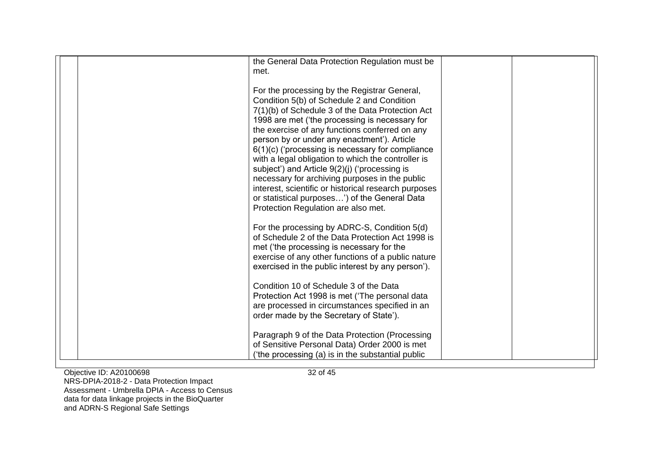| the General Data Protection Regulation must be<br>met.                                                                                                                                                                                                                                                                                                                                                                                                                                                                                                                                                                                                         |  |
|----------------------------------------------------------------------------------------------------------------------------------------------------------------------------------------------------------------------------------------------------------------------------------------------------------------------------------------------------------------------------------------------------------------------------------------------------------------------------------------------------------------------------------------------------------------------------------------------------------------------------------------------------------------|--|
| For the processing by the Registrar General,<br>Condition 5(b) of Schedule 2 and Condition<br>7(1)(b) of Schedule 3 of the Data Protection Act<br>1998 are met ('the processing is necessary for<br>the exercise of any functions conferred on any<br>person by or under any enactment'). Article<br>6(1)(c) ('processing is necessary for compliance<br>with a legal obligation to which the controller is<br>subject') and Article 9(2)(j) ('processing is<br>necessary for archiving purposes in the public<br>interest, scientific or historical research purposes<br>or statistical purposes') of the General Data<br>Protection Regulation are also met. |  |
| For the processing by ADRC-S, Condition 5(d)<br>of Schedule 2 of the Data Protection Act 1998 is<br>met ('the processing is necessary for the<br>exercise of any other functions of a public nature<br>exercised in the public interest by any person').<br>Condition 10 of Schedule 3 of the Data<br>Protection Act 1998 is met ('The personal data                                                                                                                                                                                                                                                                                                           |  |
| are processed in circumstances specified in an<br>order made by the Secretary of State').<br>Paragraph 9 of the Data Protection (Processing<br>of Sensitive Personal Data) Order 2000 is met<br>('the processing (a) is in the substantial public                                                                                                                                                                                                                                                                                                                                                                                                              |  |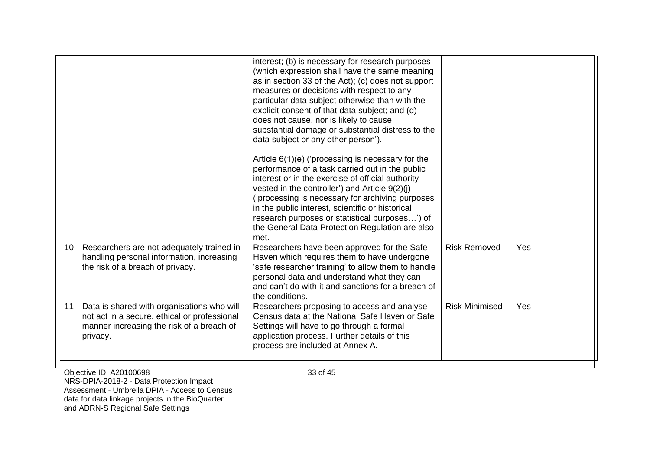| 10 <sup>1</sup> | Researchers are not adequately trained in                                                                                                           | interest; (b) is necessary for research purposes<br>(which expression shall have the same meaning<br>as in section 33 of the Act); (c) does not support<br>measures or decisions with respect to any<br>particular data subject otherwise than with the<br>explicit consent of that data subject; and (d)<br>does not cause, nor is likely to cause,<br>substantial damage or substantial distress to the<br>data subject or any other person').<br>Article $6(1)(e)$ ('processing is necessary for the<br>performance of a task carried out in the public<br>interest or in the exercise of official authority<br>vested in the controller') and Article $9(2)(j)$<br>('processing is necessary for archiving purposes<br>in the public interest, scientific or historical<br>research purposes or statistical purposes') of<br>the General Data Protection Regulation are also<br>met. | <b>Risk Removed</b>   | Yes |
|-----------------|-----------------------------------------------------------------------------------------------------------------------------------------------------|------------------------------------------------------------------------------------------------------------------------------------------------------------------------------------------------------------------------------------------------------------------------------------------------------------------------------------------------------------------------------------------------------------------------------------------------------------------------------------------------------------------------------------------------------------------------------------------------------------------------------------------------------------------------------------------------------------------------------------------------------------------------------------------------------------------------------------------------------------------------------------------|-----------------------|-----|
|                 | handling personal information, increasing<br>the risk of a breach of privacy.                                                                       | Researchers have been approved for the Safe<br>Haven which requires them to have undergone<br>'safe researcher training' to allow them to handle<br>personal data and understand what they can<br>and can't do with it and sanctions for a breach of<br>the conditions.                                                                                                                                                                                                                                                                                                                                                                                                                                                                                                                                                                                                                  |                       |     |
| 11              | Data is shared with organisations who will<br>not act in a secure, ethical or professional<br>manner increasing the risk of a breach of<br>privacy. | Researchers proposing to access and analyse<br>Census data at the National Safe Haven or Safe<br>Settings will have to go through a formal<br>application process. Further details of this<br>process are included at Annex A.                                                                                                                                                                                                                                                                                                                                                                                                                                                                                                                                                                                                                                                           | <b>Risk Minimised</b> | Yes |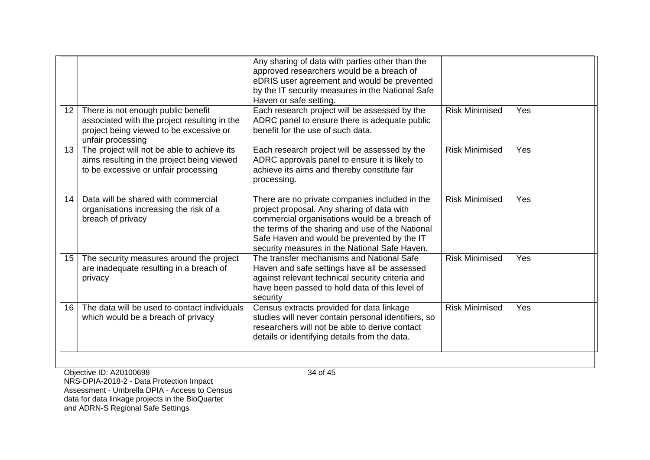|                  |                                                                                                                                                    | Any sharing of data with parties other than the<br>approved researchers would be a breach of<br>eDRIS user agreement and would be prevented<br>by the IT security measures in the National Safe<br>Haven or safe setting.                                                                         |                       |     |
|------------------|----------------------------------------------------------------------------------------------------------------------------------------------------|---------------------------------------------------------------------------------------------------------------------------------------------------------------------------------------------------------------------------------------------------------------------------------------------------|-----------------------|-----|
| 12 <sup>2</sup>  | There is not enough public benefit<br>associated with the project resulting in the<br>project being viewed to be excessive or<br>unfair processing | Each research project will be assessed by the<br>ADRC panel to ensure there is adequate public<br>benefit for the use of such data.                                                                                                                                                               | <b>Risk Minimised</b> | Yes |
| 13 <sup>°</sup>  | The project will not be able to achieve its<br>aims resulting in the project being viewed<br>to be excessive or unfair processing                  | Each research project will be assessed by the<br>ADRC approvals panel to ensure it is likely to<br>achieve its aims and thereby constitute fair<br>processing.                                                                                                                                    | <b>Risk Minimised</b> | Yes |
| 14               | Data will be shared with commercial<br>organisations increasing the risk of a<br>breach of privacy                                                 | There are no private companies included in the<br>project proposal. Any sharing of data with<br>commercial organisations would be a breach of<br>the terms of the sharing and use of the National<br>Safe Haven and would be prevented by the IT<br>security measures in the National Safe Haven. | <b>Risk Minimised</b> | Yes |
| 15 <sup>15</sup> | The security measures around the project<br>are inadequate resulting in a breach of<br>privacy                                                     | The transfer mechanisms and National Safe<br>Haven and safe settings have all be assessed<br>against relevant technical security criteria and<br>have been passed to hold data of this level of<br>security                                                                                       | <b>Risk Minimised</b> | Yes |
| 16               | The data will be used to contact individuals<br>which would be a breach of privacy                                                                 | Census extracts provided for data linkage<br>studies will never contain personal identifiers, so<br>researchers will not be able to derive contact<br>details or identifying details from the data.                                                                                               | <b>Risk Minimised</b> | Yes |
|                  |                                                                                                                                                    |                                                                                                                                                                                                                                                                                                   |                       |     |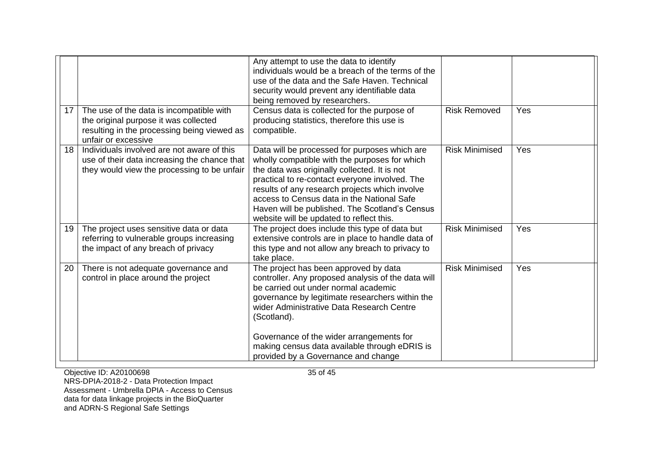|    |                                                                                                                                                         | Any attempt to use the data to identify<br>individuals would be a breach of the terms of the<br>use of the data and the Safe Haven. Technical<br>security would prevent any identifiable data<br>being removed by researchers.                                                                                                                                                                 |                       |     |
|----|---------------------------------------------------------------------------------------------------------------------------------------------------------|------------------------------------------------------------------------------------------------------------------------------------------------------------------------------------------------------------------------------------------------------------------------------------------------------------------------------------------------------------------------------------------------|-----------------------|-----|
| 17 | The use of the data is incompatible with<br>the original purpose it was collected<br>resulting in the processing being viewed as<br>unfair or excessive | Census data is collected for the purpose of<br>producing statistics, therefore this use is<br>compatible.                                                                                                                                                                                                                                                                                      | <b>Risk Removed</b>   | Yes |
| 18 | Individuals involved are not aware of this<br>use of their data increasing the chance that<br>they would view the processing to be unfair               | Data will be processed for purposes which are<br>wholly compatible with the purposes for which<br>the data was originally collected. It is not<br>practical to re-contact everyone involved. The<br>results of any research projects which involve<br>access to Census data in the National Safe<br>Haven will be published. The Scotland's Census<br>website will be updated to reflect this. | <b>Risk Minimised</b> | Yes |
| 19 | The project uses sensitive data or data<br>referring to vulnerable groups increasing<br>the impact of any breach of privacy                             | The project does include this type of data but<br>extensive controls are in place to handle data of<br>this type and not allow any breach to privacy to<br>take place.                                                                                                                                                                                                                         | <b>Risk Minimised</b> | Yes |
| 20 | There is not adequate governance and<br>control in place around the project                                                                             | The project has been approved by data<br>controller. Any proposed analysis of the data will<br>be carried out under normal academic<br>governance by legitimate researchers within the<br>wider Administrative Data Research Centre<br>(Scotland).<br>Governance of the wider arrangements for<br>making census data available through eDRIS is<br>provided by a Governance and change         | <b>Risk Minimised</b> | Yes |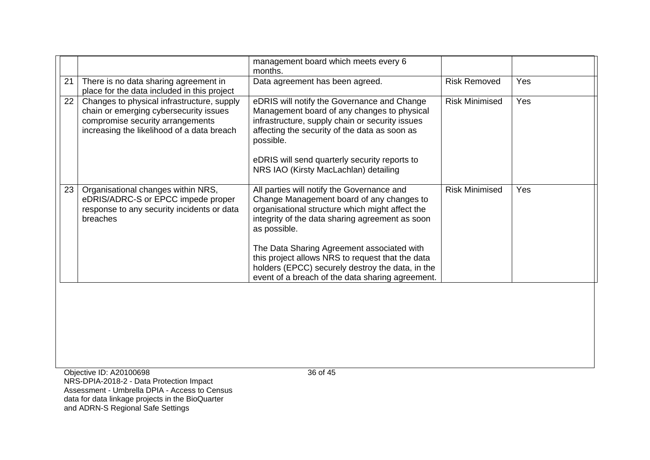|    |                                                                                                                                                                        | management board which meets every 6<br>months.                                                                                                                                                                                                                                                                                                                                                                         |                       |     |
|----|------------------------------------------------------------------------------------------------------------------------------------------------------------------------|-------------------------------------------------------------------------------------------------------------------------------------------------------------------------------------------------------------------------------------------------------------------------------------------------------------------------------------------------------------------------------------------------------------------------|-----------------------|-----|
| 21 | There is no data sharing agreement in<br>place for the data included in this project                                                                                   | Data agreement has been agreed.                                                                                                                                                                                                                                                                                                                                                                                         | <b>Risk Removed</b>   | Yes |
| 22 | Changes to physical infrastructure, supply<br>chain or emerging cybersecurity issues<br>compromise security arrangements<br>increasing the likelihood of a data breach | eDRIS will notify the Governance and Change<br>Management board of any changes to physical<br>infrastructure, supply chain or security issues<br>affecting the security of the data as soon as<br>possible.<br>eDRIS will send quarterly security reports to<br>NRS IAO (Kirsty MacLachlan) detailing                                                                                                                   | <b>Risk Minimised</b> | Yes |
| 23 | Organisational changes within NRS,<br>eDRIS/ADRC-S or EPCC impede proper<br>response to any security incidents or data<br>breaches                                     | All parties will notify the Governance and<br>Change Management board of any changes to<br>organisational structure which might affect the<br>integrity of the data sharing agreement as soon<br>as possible.<br>The Data Sharing Agreement associated with<br>this project allows NRS to request that the data<br>holders (EPCC) securely destroy the data, in the<br>event of a breach of the data sharing agreement. | <b>Risk Minimised</b> | Yes |
|    |                                                                                                                                                                        |                                                                                                                                                                                                                                                                                                                                                                                                                         |                       |     |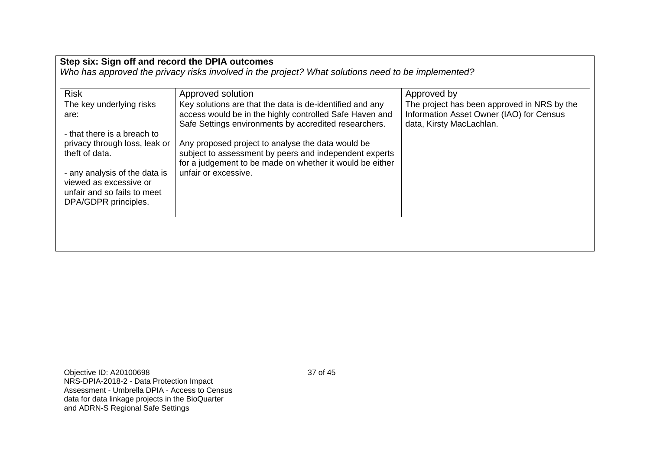| <b>Risk</b>                                                                      | Approved solution                                                                                                                                                                               | Approved by                                                                                                         |
|----------------------------------------------------------------------------------|-------------------------------------------------------------------------------------------------------------------------------------------------------------------------------------------------|---------------------------------------------------------------------------------------------------------------------|
| The key underlying risks<br>are:<br>- that there is a breach to                  | Key solutions are that the data is de-identified and any<br>access would be in the highly controlled Safe Haven and<br>Safe Settings environments by accredited researchers.                    | The project has been approved in NRS by the<br>Information Asset Owner (IAO) for Census<br>data, Kirsty MacLachlan. |
| privacy through loss, leak or<br>theft of data.<br>- any analysis of the data is | Any proposed project to analyse the data would be<br>subject to assessment by peers and independent experts<br>for a judgement to be made on whether it would be either<br>unfair or excessive. |                                                                                                                     |
| viewed as excessive or<br>unfair and so fails to meet<br>DPA/GDPR principles.    |                                                                                                                                                                                                 |                                                                                                                     |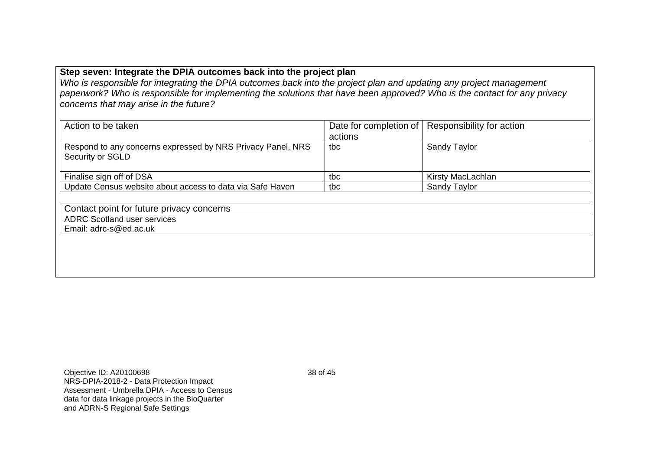# **Step seven: Integrate the DPIA outcomes back into the project plan**

*Who is responsible for integrating the DPIA outcomes back into the project plan and updating any project management paperwork? Who is responsible for implementing the solutions that have been approved? Who is the contact for any privacy concerns that may arise in the future?*

| Action to be taken                                          |         | Date for completion of   Responsibility for action |  |  |
|-------------------------------------------------------------|---------|----------------------------------------------------|--|--|
|                                                             | actions |                                                    |  |  |
| Respond to any concerns expressed by NRS Privacy Panel, NRS | tbc     | Sandy Taylor                                       |  |  |
| Security or SGLD                                            |         |                                                    |  |  |
|                                                             |         |                                                    |  |  |
| Finalise sign off of DSA                                    | tbc     | Kirsty MacLachlan                                  |  |  |
| Update Census website about access to data via Safe Haven   | tbc     | <b>Sandy Taylor</b>                                |  |  |
|                                                             |         |                                                    |  |  |
| Contact point for future privacy concerns                   |         |                                                    |  |  |
| <b>ADRC Scotland user services</b>                          |         |                                                    |  |  |

Email: adrc-s@ed.ac.uk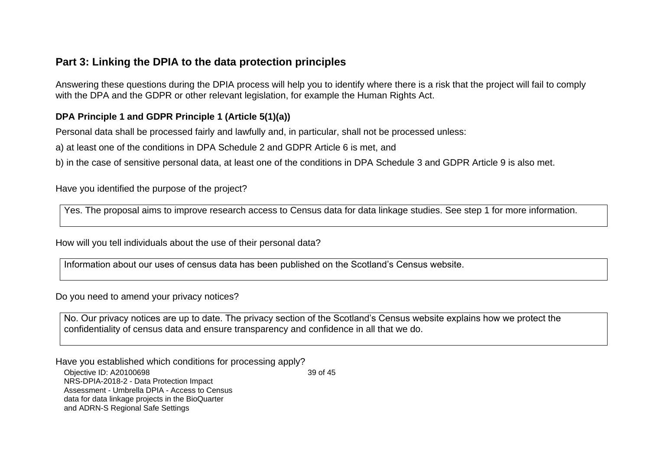# **Part 3: Linking the DPIA to the data protection principles**

Answering these questions during the DPIA process will help you to identify where there is a risk that the project will fail to comply with the DPA and the GDPR or other relevant legislation, for example the Human Rights Act.

# **DPA Principle 1 and GDPR Principle 1 (Article 5(1)(a))**

Personal data shall be processed fairly and lawfully and, in particular, shall not be processed unless:

a) at least one of the conditions in DPA Schedule 2 and GDPR Article 6 is met, and

b) in the case of sensitive personal data, at least one of the conditions in DPA Schedule 3 and GDPR Article 9 is also met.

Have you identified the purpose of the project?

Yes. The proposal aims to improve research access to Census data for data linkage studies. See step 1 for more information.

How will you tell individuals about the use of their personal data?

Information about our uses of census data has been published on the Scotland's Census website.

Do you need to amend your privacy notices?

No. Our privacy notices are up to date. The privacy section of the Scotland's Census website explains how we protect the confidentiality of census data and ensure transparency and confidence in all that we do.

Have you established which conditions for processing apply?

Objective ID: A20100698 NRS-DPIA-2018-2 - Data Protection Impact Assessment - Umbrella DPIA - Access to Census data for data linkage projects in the BioQuarter and ADRN-S Regional Safe Settings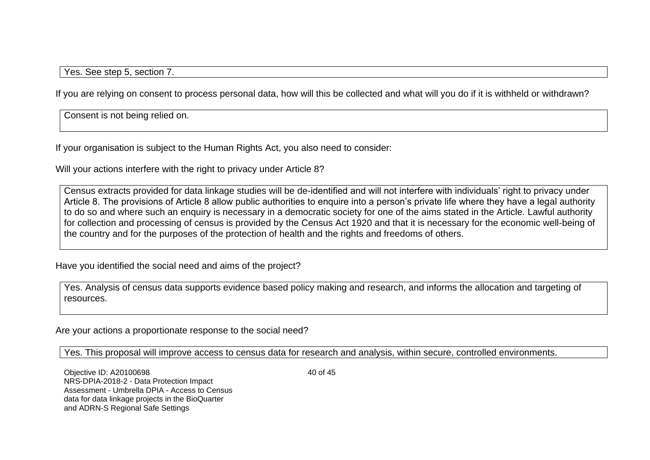Yes. See step 5, section 7.

If you are relying on consent to process personal data, how will this be collected and what will you do if it is withheld or withdrawn?

Consent is not being relied on.

If your organisation is subject to the Human Rights Act, you also need to consider:

Will your actions interfere with the right to privacy under Article 8?

Census extracts provided for data linkage studies will be de-identified and will not interfere with individuals' right to privacy under Article 8. The provisions of Article 8 allow public authorities to enquire into a person's private life where they have a legal authority to do so and where such an enquiry is necessary in a democratic society for one of the aims stated in the Article. Lawful authority for collection and processing of census is provided by the Census Act 1920 and that it is necessary for the economic well-being of the country and for the purposes of the protection of health and the rights and freedoms of others.

Have you identified the social need and aims of the project?

Yes. Analysis of census data supports evidence based policy making and research, and informs the allocation and targeting of resources.

Are your actions a proportionate response to the social need?

Yes. This proposal will improve access to census data for research and analysis, within secure, controlled environments.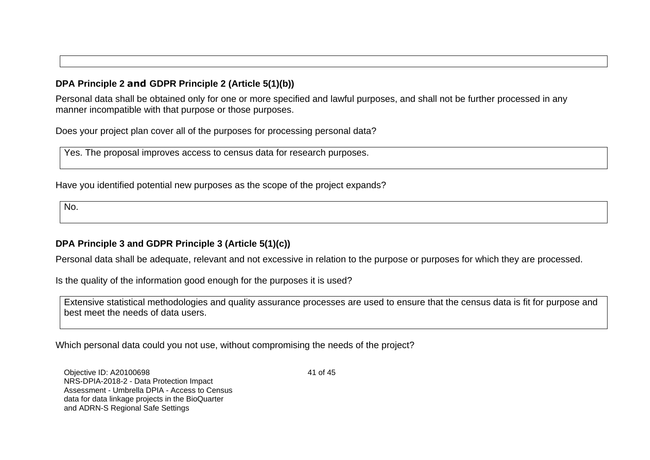# **DPA Principle 2 and GDPR Principle 2 (Article 5(1)(b))**

Personal data shall be obtained only for one or more specified and lawful purposes, and shall not be further processed in any manner incompatible with that purpose or those purposes.

Does your project plan cover all of the purposes for processing personal data?

Yes. The proposal improves access to census data for research purposes.

Have you identified potential new purposes as the scope of the project expands?

No.

# **DPA Principle 3 and GDPR Principle 3 (Article 5(1)(c))**

Personal data shall be adequate, relevant and not excessive in relation to the purpose or purposes for which they are processed.

Is the quality of the information good enough for the purposes it is used?

Extensive statistical methodologies and quality assurance processes are used to ensure that the census data is fit for purpose and best meet the needs of data users.

Which personal data could you not use, without compromising the needs of the project?

Objective ID: A20100698 NRS-DPIA-2018-2 - Data Protection Impact Assessment - Umbrella DPIA - Access to Census data for data linkage projects in the BioQuarter and ADRN-S Regional Safe Settings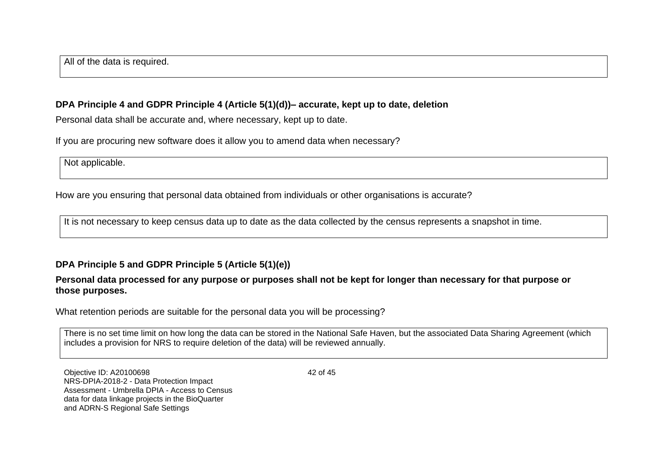All of the data is required.

## **DPA Principle 4 and GDPR Principle 4 (Article 5(1)(d))– accurate, kept up to date, deletion**

Personal data shall be accurate and, where necessary, kept up to date.

If you are procuring new software does it allow you to amend data when necessary?

Not applicable.

How are you ensuring that personal data obtained from individuals or other organisations is accurate?

It is not necessary to keep census data up to date as the data collected by the census represents a snapshot in time.

# **DPA Principle 5 and GDPR Principle 5 (Article 5(1)(e))**

#### **Personal data processed for any purpose or purposes shall not be kept for longer than necessary for that purpose or those purposes.**

What retention periods are suitable for the personal data you will be processing?

There is no set time limit on how long the data can be stored in the National Safe Haven, but the associated Data Sharing Agreement (which includes a provision for NRS to require deletion of the data) will be reviewed annually.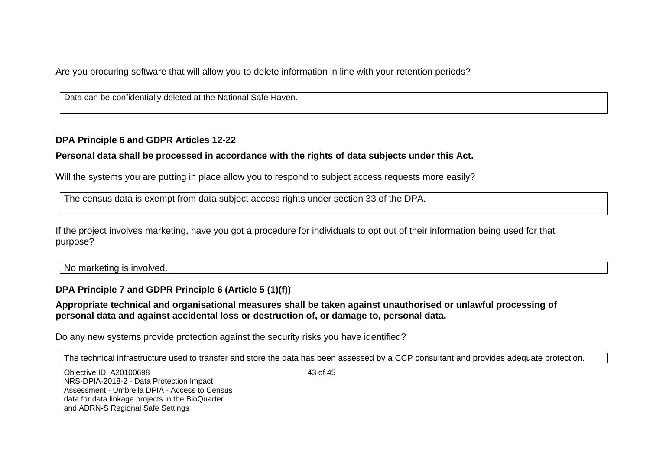Are you procuring software that will allow you to delete information in line with your retention periods?

Data can be confidentially deleted at the National Safe Haven.

## **DPA Principle 6 and GDPR Articles 12-22**

# **Personal data shall be processed in accordance with the rights of data subjects under this Act.**

Will the systems you are putting in place allow you to respond to subject access requests more easily?

The census data is exempt from data subject access rights under section 33 of the DPA.

If the project involves marketing, have you got a procedure for individuals to opt out of their information being used for that purpose?

No marketing is involved.

# **DPA Principle 7 and GDPR Principle 6 (Article 5 (1)(f))**

#### **Appropriate technical and organisational measures shall be taken against unauthorised or unlawful processing of personal data and against accidental loss or destruction of, or damage to, personal data.**

Do any new systems provide protection against the security risks you have identified?

The technical infrastructure used to transfer and store the data has been assessed by a CCP consultant and provides adequate protection.

Objective ID: A20100698 NRS-DPIA-2018-2 - Data Protection Impact Assessment - Umbrella DPIA - Access to Census data for data linkage projects in the BioQuarter and ADRN-S Regional Safe Settings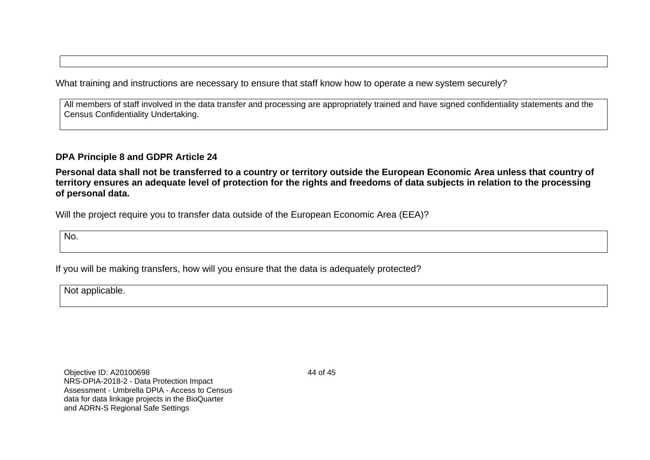What training and instructions are necessary to ensure that staff know how to operate a new system securely?

All members of staff involved in the data transfer and processing are appropriately trained and have signed confidentiality statements and the Census Confidentiality Undertaking.

**DPA Principle 8 and GDPR Article 24** 

**Personal data shall not be transferred to a country or territory outside the European Economic Area unless that country of territory ensures an adequate level of protection for the rights and freedoms of data subjects in relation to the processing of personal data.**

Will the project require you to transfer data outside of the European Economic Area (EEA)?

No.

If you will be making transfers, how will you ensure that the data is adequately protected?

Not applicable.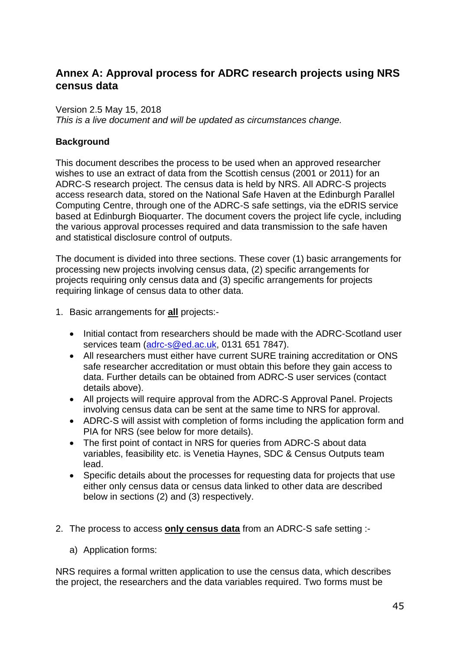# **Annex A: Approval process for ADRC research projects using NRS census data**

#### Version 2.5 May 15, 2018

*This is a live document and will be updated as circumstances change.*

## **Background**

This document describes the process to be used when an approved researcher wishes to use an extract of data from the Scottish census (2001 or 2011) for an ADRC-S research project. The census data is held by NRS. All ADRC-S projects access research data, stored on the National Safe Haven at the Edinburgh Parallel Computing Centre, through one of the ADRC-S safe settings, via the eDRIS service based at Edinburgh Bioquarter. The document covers the project life cycle, including the various approval processes required and data transmission to the safe haven and statistical disclosure control of outputs.

The document is divided into three sections. These cover (1) basic arrangements for processing new projects involving census data, (2) specific arrangements for projects requiring only census data and (3) specific arrangements for projects requiring linkage of census data to other data.

- 1. Basic arrangements for **all** projects:-
	- Initial contact from researchers should be made with the ADRC-Scotland user services team [\(adrc-s@ed.ac.uk,](mailto:adrc-s@ed.ac.uk) 0131 651 7847).
	- All researchers must either have current SURE training accreditation or ONS safe researcher accreditation or must obtain this before they gain access to data. Further details can be obtained from ADRC-S user services (contact details above).
	- All projects will require approval from the ADRC-S Approval Panel. Projects involving census data can be sent at the same time to NRS for approval.
	- ADRC-S will assist with completion of forms including the application form and PIA for NRS (see below for more details).
	- The first point of contact in NRS for queries from ADRC-S about data variables, feasibility etc. is Venetia Haynes, SDC & Census Outputs team lead.
	- Specific details about the processes for requesting data for projects that use either only census data or census data linked to other data are described below in sections (2) and (3) respectively.
- 2. The process to access **only census data** from an ADRC-S safe setting :
	- a) Application forms:

NRS requires a formal written application to use the census data, which describes the project, the researchers and the data variables required. Two forms must be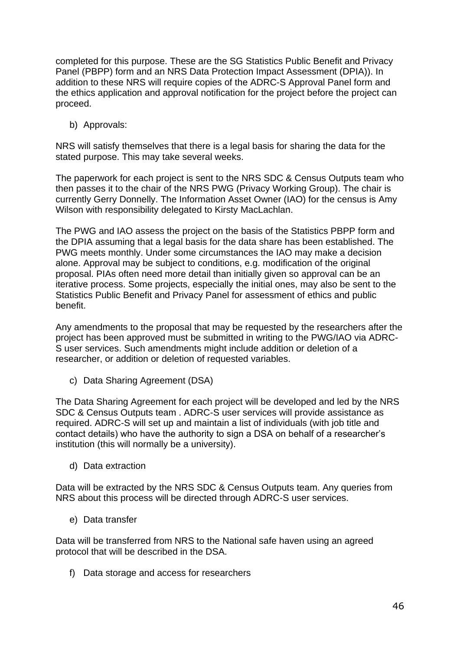completed for this purpose. These are the SG Statistics Public Benefit and Privacy Panel (PBPP) form and an NRS Data Protection Impact Assessment (DPIA)). In addition to these NRS will require copies of the ADRC-S Approval Panel form and the ethics application and approval notification for the project before the project can proceed.

b) Approvals:

NRS will satisfy themselves that there is a legal basis for sharing the data for the stated purpose. This may take several weeks.

The paperwork for each project is sent to the NRS SDC & Census Outputs team who then passes it to the chair of the NRS PWG (Privacy Working Group). The chair is currently Gerry Donnelly. The Information Asset Owner (IAO) for the census is Amy Wilson with responsibility delegated to Kirsty MacLachlan.

The PWG and IAO assess the project on the basis of the Statistics PBPP form and the DPIA assuming that a legal basis for the data share has been established. The PWG meets monthly. Under some circumstances the IAO may make a decision alone. Approval may be subject to conditions, e.g. modification of the original proposal. PIAs often need more detail than initially given so approval can be an iterative process. Some projects, especially the initial ones, may also be sent to the Statistics Public Benefit and Privacy Panel for assessment of ethics and public benefit.

Any amendments to the proposal that may be requested by the researchers after the project has been approved must be submitted in writing to the PWG/IAO via ADRC-S user services. Such amendments might include addition or deletion of a researcher, or addition or deletion of requested variables.

c) Data Sharing Agreement (DSA)

The Data Sharing Agreement for each project will be developed and led by the NRS SDC & Census Outputs team . ADRC-S user services will provide assistance as required. ADRC-S will set up and maintain a list of individuals (with job title and contact details) who have the authority to sign a DSA on behalf of a researcher's institution (this will normally be a university).

d) Data extraction

Data will be extracted by the NRS SDC & Census Outputs team. Any queries from NRS about this process will be directed through ADRC-S user services.

e) Data transfer

Data will be transferred from NRS to the National safe haven using an agreed protocol that will be described in the DSA.

f) Data storage and access for researchers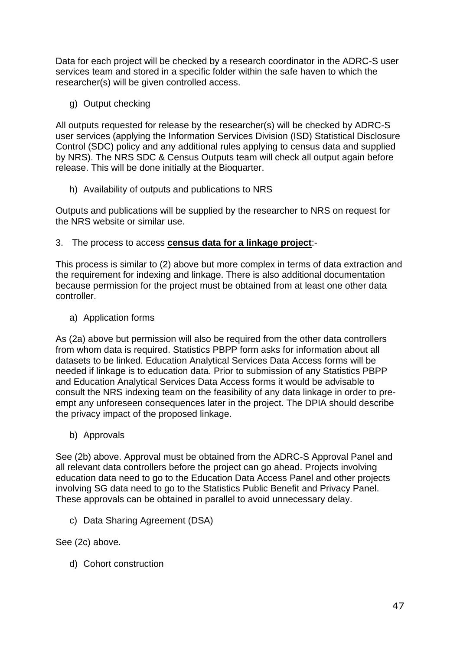Data for each project will be checked by a research coordinator in the ADRC-S user services team and stored in a specific folder within the safe haven to which the researcher(s) will be given controlled access.

g) Output checking

All outputs requested for release by the researcher(s) will be checked by ADRC-S user services (applying the Information Services Division (ISD) Statistical Disclosure Control (SDC) policy and any additional rules applying to census data and supplied by NRS). The NRS SDC & Census Outputs team will check all output again before release. This will be done initially at the Bioquarter.

h) Availability of outputs and publications to NRS

Outputs and publications will be supplied by the researcher to NRS on request for the NRS website or similar use.

3. The process to access **census data for a linkage project**:-

This process is similar to (2) above but more complex in terms of data extraction and the requirement for indexing and linkage. There is also additional documentation because permission for the project must be obtained from at least one other data controller.

a) Application forms

As (2a) above but permission will also be required from the other data controllers from whom data is required. Statistics PBPP form asks for information about all datasets to be linked. Education Analytical Services Data Access forms will be needed if linkage is to education data. Prior to submission of any Statistics PBPP and Education Analytical Services Data Access forms it would be advisable to consult the NRS indexing team on the feasibility of any data linkage in order to preempt any unforeseen consequences later in the project. The DPIA should describe the privacy impact of the proposed linkage.

b) Approvals

See (2b) above. Approval must be obtained from the ADRC-S Approval Panel and all relevant data controllers before the project can go ahead. Projects involving education data need to go to the Education Data Access Panel and other projects involving SG data need to go to the Statistics Public Benefit and Privacy Panel. These approvals can be obtained in parallel to avoid unnecessary delay.

c) Data Sharing Agreement (DSA)

See (2c) above.

d) Cohort construction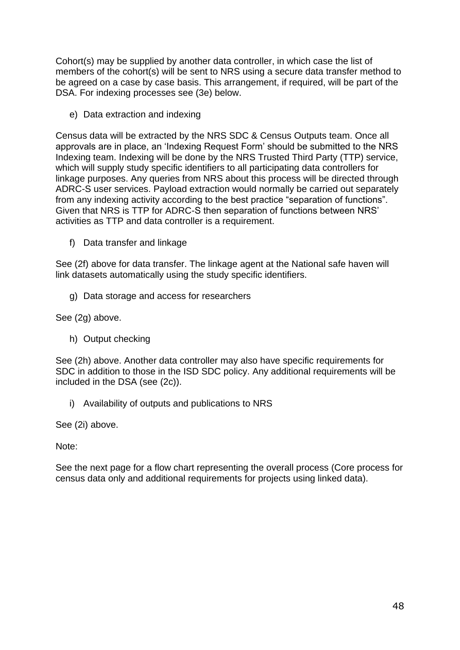Cohort(s) may be supplied by another data controller, in which case the list of members of the cohort(s) will be sent to NRS using a secure data transfer method to be agreed on a case by case basis. This arrangement, if required, will be part of the DSA. For indexing processes see (3e) below.

e) Data extraction and indexing

Census data will be extracted by the NRS SDC & Census Outputs team. Once all approvals are in place, an 'Indexing Request Form' should be submitted to the NRS Indexing team. Indexing will be done by the NRS Trusted Third Party (TTP) service, which will supply study specific identifiers to all participating data controllers for linkage purposes. Any queries from NRS about this process will be directed through ADRC-S user services. Payload extraction would normally be carried out separately from any indexing activity according to the best practice "separation of functions". Given that NRS is TTP for ADRC-S then separation of functions between NRS' activities as TTP and data controller is a requirement.

f) Data transfer and linkage

See (2f) above for data transfer. The linkage agent at the National safe haven will link datasets automatically using the study specific identifiers.

g) Data storage and access for researchers

See (2g) above.

h) Output checking

See (2h) above. Another data controller may also have specific requirements for SDC in addition to those in the ISD SDC policy. Any additional requirements will be included in the DSA (see (2c)).

i) Availability of outputs and publications to NRS

See (2i) above.

Note:

See the next page for a flow chart representing the overall process (Core process for census data only and additional requirements for projects using linked data).